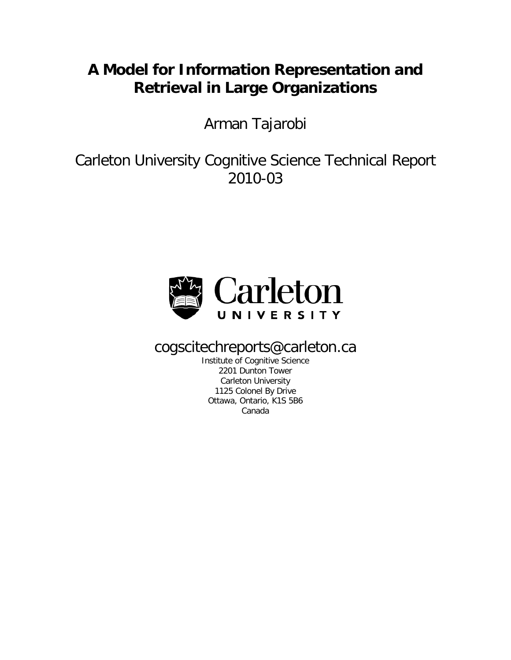## **A Model for Information Representation and Retrieval in Large Organizations**

Arman Tajarobi

Carleton University Cognitive Science Technical Report 2010-03



cogscitechreports@carleton.ca

Institute of Cognitive Science 2201 Dunton Tower Carleton University 1125 Colonel By Drive Ottawa, Ontario, K1S 5B6 Canada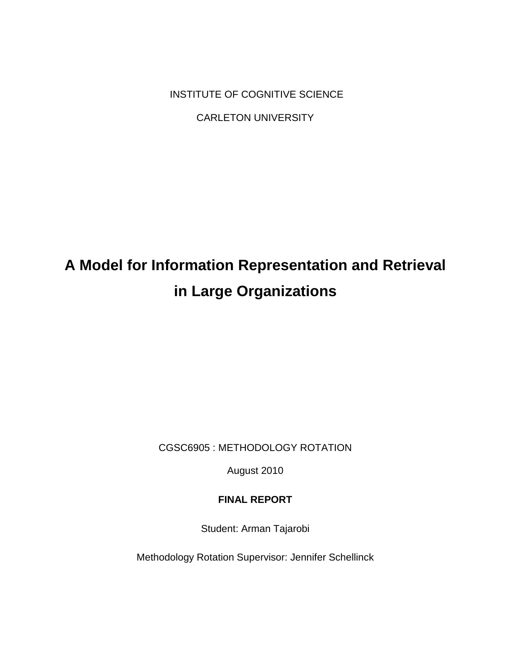INSTITUTE OF COGNITIVE SCIENCE

CARLETON UNIVERSITY

# **A Model for Information Representation and Retrieval in Large Organizations**

CGSC6905 : METHODOLOGY ROTATION

August 2010

### **FINAL REPORT**

Student: Arman Tajarobi

Methodology Rotation Supervisor: Jennifer Schellinck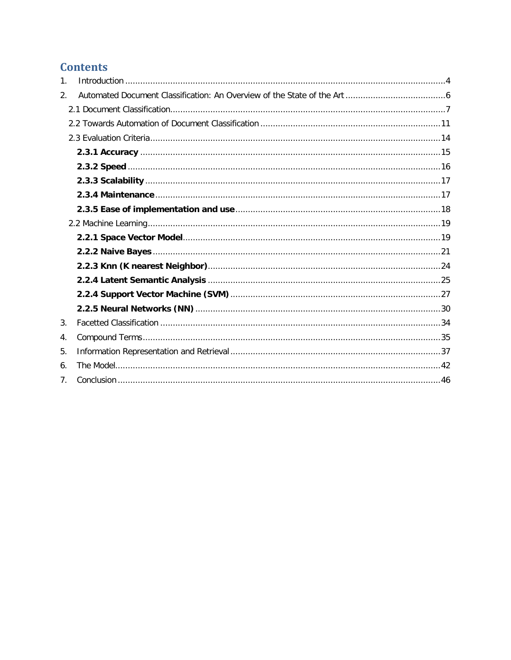### **Contents**

| 1. |  |
|----|--|
| 2. |  |
|    |  |
|    |  |
|    |  |
|    |  |
|    |  |
|    |  |
|    |  |
|    |  |
|    |  |
|    |  |
|    |  |
|    |  |
|    |  |
|    |  |
|    |  |
| 3. |  |
| 4. |  |
| 5. |  |
| 6. |  |
| 7. |  |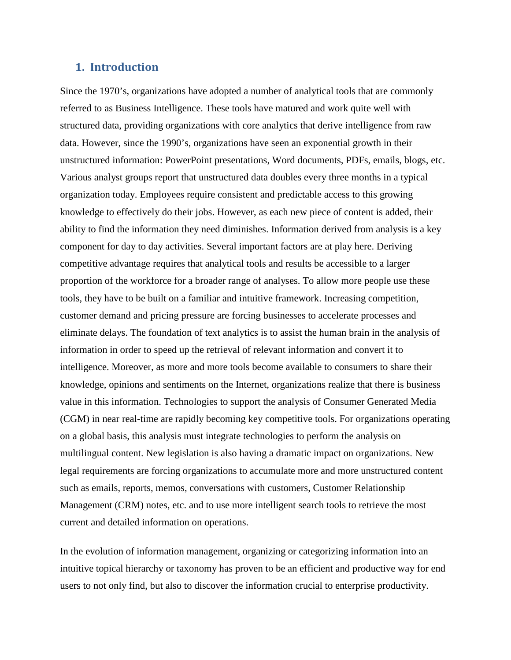### <span id="page-3-0"></span>**1. Introduction**

Since the 1970's, organizations have adopted a number of analytical tools that are commonly referred to as Business Intelligence. These tools have matured and work quite well with structured data, providing organizations with core analytics that derive intelligence from raw data. However, since the 1990's, organizations have seen an exponential growth in their unstructured information: PowerPoint presentations, Word documents, PDFs, emails, blogs, etc. Various analyst groups report that unstructured data doubles every three months in a typical organization today. Employees require consistent and predictable access to this growing knowledge to effectively do their jobs. However, as each new piece of content is added, their ability to find the information they need diminishes. Information derived from analysis is a key component for day to day activities. Several important factors are at play here. Deriving competitive advantage requires that analytical tools and results be accessible to a larger proportion of the workforce for a broader range of analyses. To allow more people use these tools, they have to be built on a familiar and intuitive framework. Increasing competition, customer demand and pricing pressure are forcing businesses to accelerate processes and eliminate delays. The foundation of text analytics is to assist the human brain in the analysis of information in order to speed up the retrieval of relevant information and convert it to intelligence. Moreover, as more and more tools become available to consumers to share their knowledge, opinions and sentiments on the Internet, organizations realize that there is business value in this information. Technologies to support the analysis of Consumer Generated Media (CGM) in near real-time are rapidly becoming key competitive tools. For organizations operating on a global basis, this analysis must integrate technologies to perform the analysis on multilingual content. New legislation is also having a dramatic impact on organizations. New legal requirements are forcing organizations to accumulate more and more unstructured content such as emails, reports, memos, conversations with customers, Customer Relationship Management (CRM) notes, etc. and to use more intelligent search tools to retrieve the most current and detailed information on operations.

In the evolution of information management, organizing or categorizing information into an intuitive topical hierarchy or taxonomy has proven to be an efficient and productive way for end users to not only find, but also to discover the information crucial to enterprise productivity.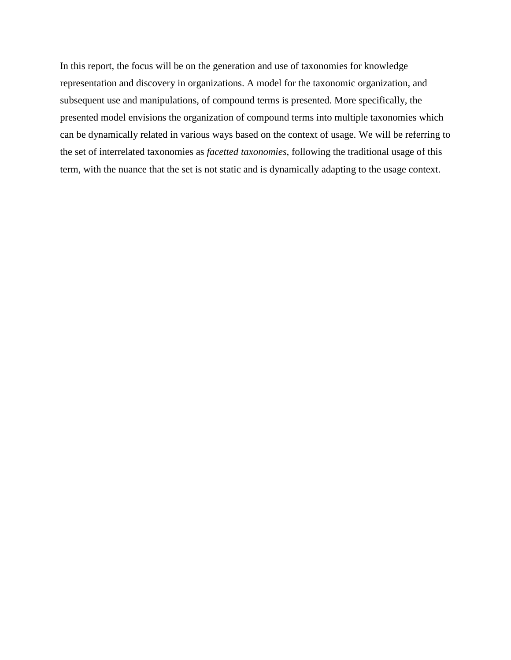In this report, the focus will be on the generation and use of taxonomies for knowledge representation and discovery in organizations. A model for the taxonomic organization, and subsequent use and manipulations, of compound terms is presented. More specifically, the presented model envisions the organization of compound terms into multiple taxonomies which can be dynamically related in various ways based on the context of usage. We will be referring to the set of interrelated taxonomies as *facetted taxonomies*, following the traditional usage of this term, with the nuance that the set is not static and is dynamically adapting to the usage context.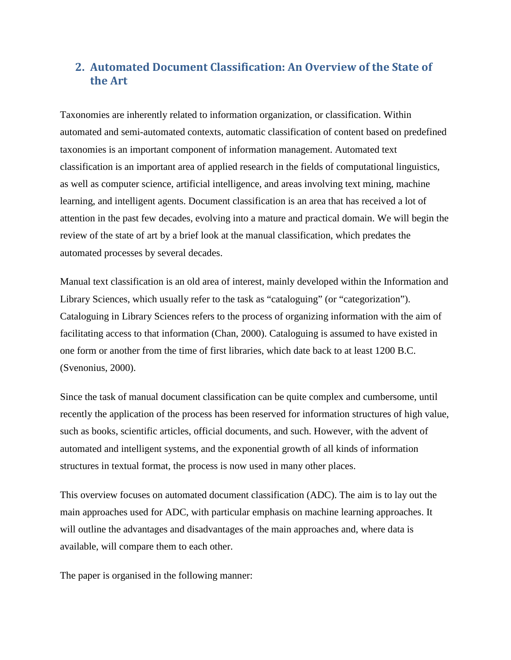### <span id="page-5-0"></span>**2. Automated Document Classification: An Overview of the State of the Art**

Taxonomies are inherently related to information organization, or classification. Within automated and semi-automated contexts, automatic classification of content based on predefined taxonomies is an important component of information management. Automated text classification is an important area of applied research in the fields of computational linguistics, as well as computer science, artificial intelligence, and areas involving text mining, machine learning, and intelligent agents. Document classification is an area that has received a lot of attention in the past few decades, evolving into a mature and practical domain. We will begin the review of the state of art by a brief look at the manual classification, which predates the automated processes by several decades.

Manual text classification is an old area of interest, mainly developed within the Information and Library Sciences, which usually refer to the task as "cataloguing" (or "categorization"). Cataloguing in Library Sciences refers to the process of organizing information with the aim of facilitating access to that information (Chan, 2000). Cataloguing is assumed to have existed in one form or another from the time of first libraries, which date back to at least 1200 B.C. (Svenonius, 2000).

Since the task of manual document classification can be quite complex and cumbersome, until recently the application of the process has been reserved for information structures of high value, such as books, scientific articles, official documents, and such. However, with the advent of automated and intelligent systems, and the exponential growth of all kinds of information structures in textual format, the process is now used in many other places.

This overview focuses on automated document classification (ADC). The aim is to lay out the main approaches used for ADC, with particular emphasis on machine learning approaches. It will outline the advantages and disadvantages of the main approaches and, where data is available, will compare them to each other.

The paper is organised in the following manner: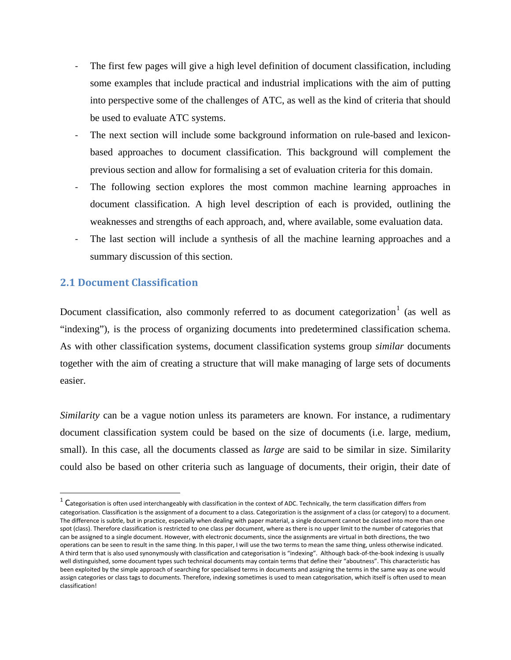- The first few pages will give a high level definition of document classification, including some examples that include practical and industrial implications with the aim of putting into perspective some of the challenges of ATC, as well as the kind of criteria that should be used to evaluate ATC systems.
- The next section will include some background information on rule-based and lexiconbased approaches to document classification. This background will complement the previous section and allow for formalising a set of evaluation criteria for this domain.
- The following section explores the most common machine learning approaches in document classification. A high level description of each is provided, outlining the weaknesses and strengths of each approach, and, where available, some evaluation data.
- The last section will include a synthesis of all the machine learning approaches and a summary discussion of this section.

### <span id="page-6-0"></span>**2.1 Document Classification**

-

Document classification, also commonly referred to as document categorization<sup>[1](#page-6-1)</sup> (as well as "indexing"), is the process of organizing documents into predetermined classification schema. As with other classification systems, document classification systems group *similar* documents together with the aim of creating a structure that will make managing of large sets of documents easier.

*Similarity* can be a vague notion unless its parameters are known. For instance, a rudimentary document classification system could be based on the size of documents (i.e. large, medium, small). In this case, all the documents classed as *large* are said to be similar in size. Similarity could also be based on other criteria such as language of documents, their origin, their date of

<span id="page-6-1"></span> $1 \text{ C}$ ategorisation is often used interchangeably with classification in the context of ADC. Technically, the term classification differs from categorisation. Classification is the assignment of a document to a class. Categorization is the assignment of a class (or category) to a document. The difference is subtle, but in practice, especially when dealing with paper material, a single document cannot be classed into more than one spot (class). Therefore classification is restricted to one class per document, where as there is no upper limit to the number of categories that can be assigned to a single document. However, with electronic documents, since the assignments are virtual in both directions, the two operations can be seen to result in the same thing. In this paper, I will use the two terms to mean the same thing, unless otherwise indicated. A third term that is also used synonymously with classification and categorisation is "indexing". Although back-of-the-book indexing is usually well distinguished, some document types such technical documents may contain terms that define their "aboutness". This characteristic has been exploited by the simple approach of searching for specialised terms in documents and assigning the terms in the same way as one would assign categories or class tags to documents. Therefore, indexing sometimes is used to mean categorisation, which itself is often used to mean classification!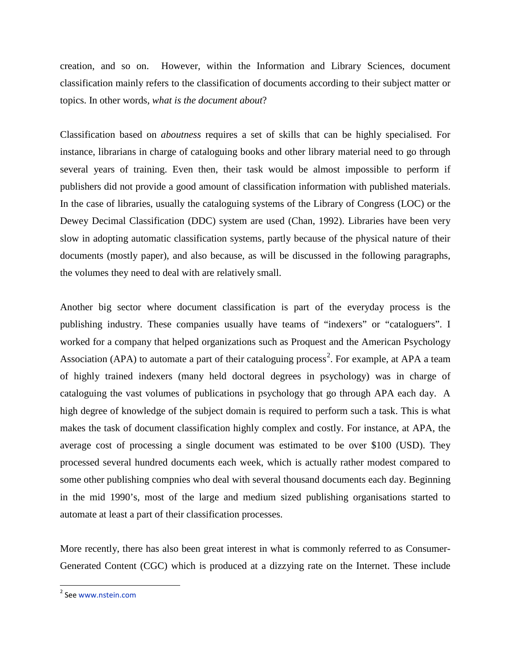creation, and so on. However, within the Information and Library Sciences, document classification mainly refers to the classification of documents according to their subject matter or topics. In other words, *what is the document about*?

Classification based on *aboutness* requires a set of skills that can be highly specialised. For instance, librarians in charge of cataloguing books and other library material need to go through several years of training. Even then, their task would be almost impossible to perform if publishers did not provide a good amount of classification information with published materials. In the case of libraries, usually the cataloguing systems of the Library of Congress (LOC) or the Dewey Decimal Classification (DDC) system are used (Chan, 1992). Libraries have been very slow in adopting automatic classification systems, partly because of the physical nature of their documents (mostly paper), and also because, as will be discussed in the following paragraphs, the volumes they need to deal with are relatively small.

Another big sector where document classification is part of the everyday process is the publishing industry. These companies usually have teams of "indexers" or "cataloguers". I worked for a company that helped organizations such as Proquest and the American Psychology Association (APA) to automate a part of their cataloguing process<sup>[2](#page-7-0)</sup>. For example, at APA a team of highly trained indexers (many held doctoral degrees in psychology) was in charge of cataloguing the vast volumes of publications in psychology that go through APA each day. A high degree of knowledge of the subject domain is required to perform such a task. This is what makes the task of document classification highly complex and costly. For instance, at APA, the average cost of processing a single document was estimated to be over \$100 (USD). They processed several hundred documents each week, which is actually rather modest compared to some other publishing compnies who deal with several thousand documents each day. Beginning in the mid 1990's, most of the large and medium sized publishing organisations started to automate at least a part of their classification processes.

More recently, there has also been great interest in what is commonly referred to as Consumer-Generated Content (CGC) which is produced at a dizzying rate on the Internet. These include

-

<span id="page-7-0"></span><sup>2</sup> See [www.nstein.com](http://www.nstein.com/)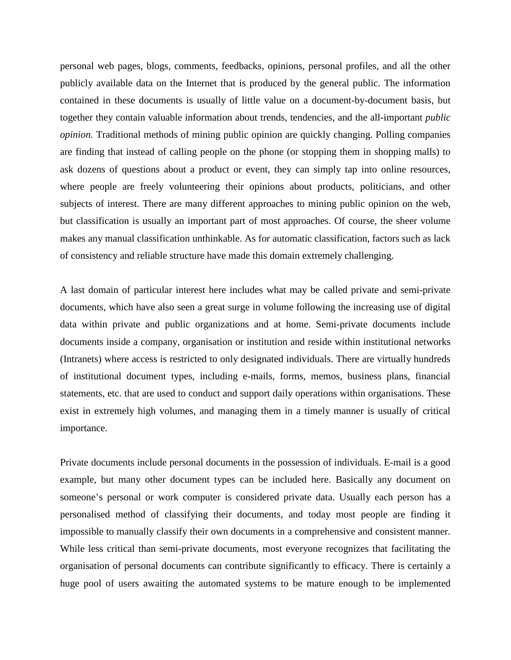personal web pages, blogs, comments, feedbacks, opinions, personal profiles, and all the other publicly available data on the Internet that is produced by the general public. The information contained in these documents is usually of little value on a document-by-document basis, but together they contain valuable information about trends, tendencies, and the all-important *public opinion.* Traditional methods of mining public opinion are quickly changing. Polling companies are finding that instead of calling people on the phone (or stopping them in shopping malls) to ask dozens of questions about a product or event, they can simply tap into online resources, where people are freely volunteering their opinions about products, politicians, and other subjects of interest. There are many different approaches to mining public opinion on the web, but classification is usually an important part of most approaches. Of course, the sheer volume makes any manual classification unthinkable. As for automatic classification, factors such as lack of consistency and reliable structure have made this domain extremely challenging.

A last domain of particular interest here includes what may be called private and semi-private documents, which have also seen a great surge in volume following the increasing use of digital data within private and public organizations and at home. Semi-private documents include documents inside a company, organisation or institution and reside within institutional networks (Intranets) where access is restricted to only designated individuals. There are virtually hundreds of institutional document types, including e-mails, forms, memos, business plans, financial statements, etc. that are used to conduct and support daily operations within organisations. These exist in extremely high volumes, and managing them in a timely manner is usually of critical importance.

Private documents include personal documents in the possession of individuals. E-mail is a good example, but many other document types can be included here. Basically any document on someone's personal or work computer is considered private data. Usually each person has a personalised method of classifying their documents, and today most people are finding it impossible to manually classify their own documents in a comprehensive and consistent manner. While less critical than semi-private documents, most everyone recognizes that facilitating the organisation of personal documents can contribute significantly to efficacy. There is certainly a huge pool of users awaiting the automated systems to be mature enough to be implemented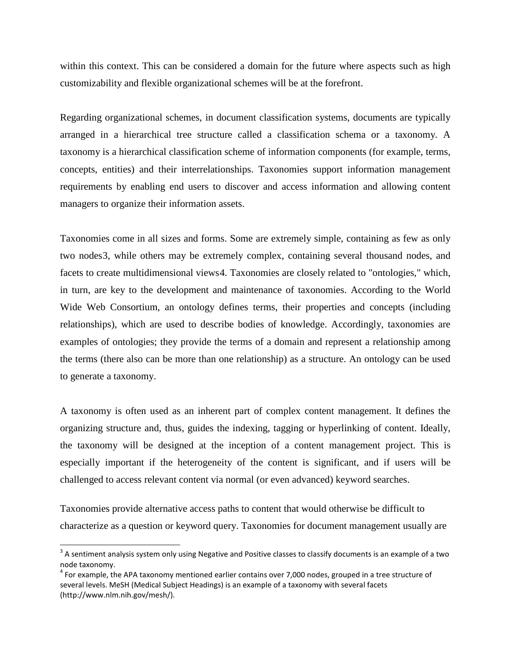within this context. This can be considered a domain for the future where aspects such as high customizability and flexible organizational schemes will be at the forefront.

Regarding organizational schemes, in document classification systems, documents are typically arranged in a hierarchical tree structure called a classification schema or a taxonomy. A taxonomy is a hierarchical classification scheme of information components (for example, terms, concepts, entities) and their interrelationships. Taxonomies support information management requirements by enabling end users to discover and access information and allowing content managers to organize their information assets.

Taxonomies come in all sizes and forms. Some are extremely simple, containing as few as only two nodes[3](#page-9-0), while others may be extremely complex, containing several thousand nodes, and facets to create multidimensional views[4](#page-9-1). Taxonomies are closely related to "ontologies," which, in turn, are key to the development and maintenance of taxonomies. According to the World Wide Web Consortium, an ontology defines terms, their properties and concepts (including relationships), which are used to describe bodies of knowledge. Accordingly, taxonomies are examples of ontologies; they provide the terms of a domain and represent a relationship among the terms (there also can be more than one relationship) as a structure. An ontology can be used to generate a taxonomy.

A taxonomy is often used as an inherent part of complex content management. It defines the organizing structure and, thus, guides the indexing, tagging or hyperlinking of content. Ideally, the taxonomy will be designed at the inception of a content management project. This is especially important if the heterogeneity of the content is significant, and if users will be challenged to access relevant content via normal (or even advanced) keyword searches.

Taxonomies provide alternative access paths to content that would otherwise be difficult to characterize as a question or keyword query. Taxonomies for document management usually are

-

<span id="page-9-0"></span> $3$  A sentiment analysis system only using Negative and Positive classes to classify documents is an example of a two node taxonomy.

<span id="page-9-1"></span> $4$  For example, the APA taxonomy mentioned earlier contains over 7,000 nodes, grouped in a tree structure of several levels. MeSH (Medical Subject Headings) is an example of a taxonomy with several facets (http://www.nlm.nih.gov/mesh/).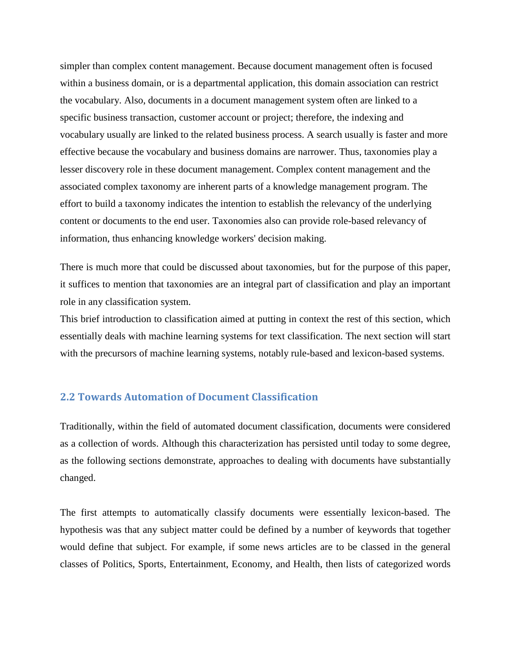simpler than complex content management. Because document management often is focused within a business domain, or is a departmental application, this domain association can restrict the vocabulary. Also, documents in a document management system often are linked to a specific business transaction, customer account or project; therefore, the indexing and vocabulary usually are linked to the related business process. A search usually is faster and more effective because the vocabulary and business domains are narrower. Thus, taxonomies play a lesser discovery role in these document management. Complex content management and the associated complex taxonomy are inherent parts of a knowledge management program. The effort to build a taxonomy indicates the intention to establish the relevancy of the underlying content or documents to the end user. Taxonomies also can provide role-based relevancy of information, thus enhancing knowledge workers' decision making.

There is much more that could be discussed about taxonomies, but for the purpose of this paper, it suffices to mention that taxonomies are an integral part of classification and play an important role in any classification system.

This brief introduction to classification aimed at putting in context the rest of this section, which essentially deals with machine learning systems for text classification. The next section will start with the precursors of machine learning systems, notably rule-based and lexicon-based systems.

### <span id="page-10-0"></span>**2.2 Towards Automation of Document Classification**

Traditionally, within the field of automated document classification, documents were considered as a collection of words. Although this characterization has persisted until today to some degree, as the following sections demonstrate, approaches to dealing with documents have substantially changed.

The first attempts to automatically classify documents were essentially lexicon-based. The hypothesis was that any subject matter could be defined by a number of keywords that together would define that subject. For example, if some news articles are to be classed in the general classes of Politics, Sports, Entertainment, Economy, and Health, then lists of categorized words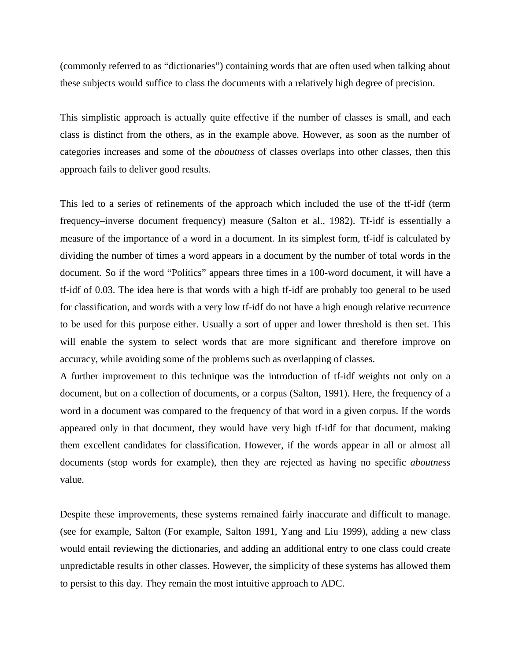(commonly referred to as "dictionaries") containing words that are often used when talking about these subjects would suffice to class the documents with a relatively high degree of precision.

This simplistic approach is actually quite effective if the number of classes is small, and each class is distinct from the others, as in the example above. However, as soon as the number of categories increases and some of the *aboutness* of classes overlaps into other classes, then this approach fails to deliver good results.

This led to a series of refinements of the approach which included the use of the tf-idf (term frequency–inverse document frequency) measure (Salton et al., 1982). Tf-idf is essentially a measure of the importance of a word in a document. In its simplest form, tf-idf is calculated by dividing the number of times a word appears in a document by the number of total words in the document. So if the word "Politics" appears three times in a 100-word document, it will have a tf-idf of 0.03. The idea here is that words with a high tf-idf are probably too general to be used for classification, and words with a very low tf-idf do not have a high enough relative recurrence to be used for this purpose either. Usually a sort of upper and lower threshold is then set. This will enable the system to select words that are more significant and therefore improve on accuracy, while avoiding some of the problems such as overlapping of classes.

A further improvement to this technique was the introduction of tf-idf weights not only on a document, but on a collection of documents, or a corpus (Salton, 1991). Here, the frequency of a word in a document was compared to the frequency of that word in a given corpus. If the words appeared only in that document, they would have very high tf-idf for that document, making them excellent candidates for classification. However, if the words appear in all or almost all documents (stop words for example), then they are rejected as having no specific *aboutness* value.

Despite these improvements, these systems remained fairly inaccurate and difficult to manage. (see for example, Salton (For example, Salton 1991, Yang and Liu 1999), adding a new class would entail reviewing the dictionaries, and adding an additional entry to one class could create unpredictable results in other classes. However, the simplicity of these systems has allowed them to persist to this day. They remain the most intuitive approach to ADC.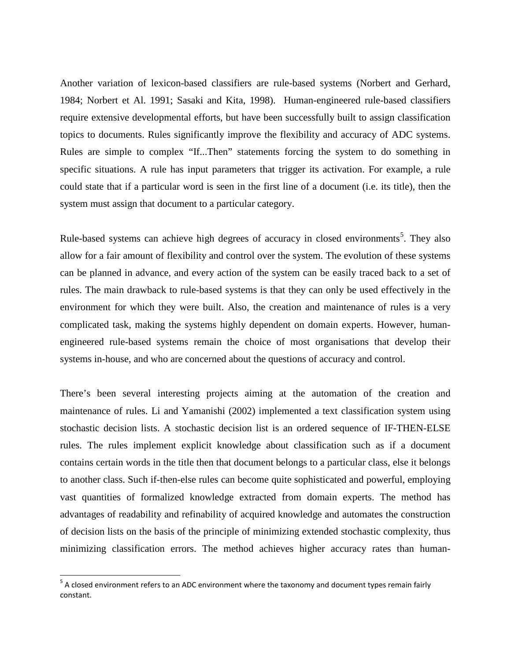Another variation of lexicon-based classifiers are rule-based systems (Norbert and Gerhard, 1984; Norbert et Al. 1991; Sasaki and Kita, 1998). Human-engineered rule-based classifiers require extensive developmental efforts, but have been successfully built to assign classification topics to documents. Rules significantly improve the flexibility and accuracy of ADC systems. Rules are simple to complex "If...Then" statements forcing the system to do something in specific situations. A rule has input parameters that trigger its activation. For example, a rule could state that if a particular word is seen in the first line of a document (i.e. its title), then the system must assign that document to a particular category.

Rule-based systems can achieve high degrees of accuracy in closed environments<sup>[5](#page-12-0)</sup>. They also allow for a fair amount of flexibility and control over the system. The evolution of these systems can be planned in advance, and every action of the system can be easily traced back to a set of rules. The main drawback to rule-based systems is that they can only be used effectively in the environment for which they were built. Also, the creation and maintenance of rules is a very complicated task, making the systems highly dependent on domain experts. However, humanengineered rule-based systems remain the choice of most organisations that develop their systems in-house, and who are concerned about the questions of accuracy and control.

There's been several interesting projects aiming at the automation of the creation and maintenance of rules. Li and Yamanishi (2002) implemented a text classification system using stochastic decision lists. A stochastic decision list is an ordered sequence of IF-THEN-ELSE rules. The rules implement explicit knowledge about classification such as if a document contains certain words in the title then that document belongs to a particular class, else it belongs to another class. Such if-then-else rules can become quite sophisticated and powerful, employing vast quantities of formalized knowledge extracted from domain experts. The method has advantages of readability and refinability of acquired knowledge and automates the construction of decision lists on the basis of the principle of minimizing extended stochastic complexity, thus minimizing classification errors. The method achieves higher accuracy rates than human-

<span id="page-12-0"></span> $5$  A closed environment refers to an ADC environment where the taxonomy and document types remain fairly constant.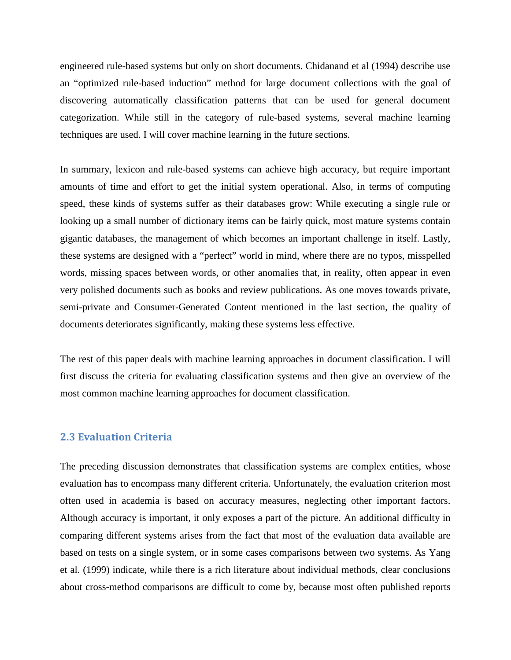engineered rule-based systems but only on short documents. Chidanand et al (1994) describe use an "optimized rule-based induction" method for large document collections with the goal of discovering automatically classification patterns that can be used for general document categorization. While still in the category of rule-based systems, several machine learning techniques are used. I will cover machine learning in the future sections.

In summary, lexicon and rule-based systems can achieve high accuracy, but require important amounts of time and effort to get the initial system operational. Also, in terms of computing speed, these kinds of systems suffer as their databases grow: While executing a single rule or looking up a small number of dictionary items can be fairly quick, most mature systems contain gigantic databases, the management of which becomes an important challenge in itself. Lastly, these systems are designed with a "perfect" world in mind, where there are no typos, misspelled words, missing spaces between words, or other anomalies that, in reality, often appear in even very polished documents such as books and review publications. As one moves towards private, semi-private and Consumer-Generated Content mentioned in the last section, the quality of documents deteriorates significantly, making these systems less effective.

The rest of this paper deals with machine learning approaches in document classification. I will first discuss the criteria for evaluating classification systems and then give an overview of the most common machine learning approaches for document classification.

### <span id="page-13-0"></span>**2.3 Evaluation Criteria**

The preceding discussion demonstrates that classification systems are complex entities, whose evaluation has to encompass many different criteria. Unfortunately, the evaluation criterion most often used in academia is based on accuracy measures, neglecting other important factors. Although accuracy is important, it only exposes a part of the picture. An additional difficulty in comparing different systems arises from the fact that most of the evaluation data available are based on tests on a single system, or in some cases comparisons between two systems. As Yang et al. (1999) indicate, while there is a rich literature about individual methods, clear conclusions about cross-method comparisons are difficult to come by, because most often published reports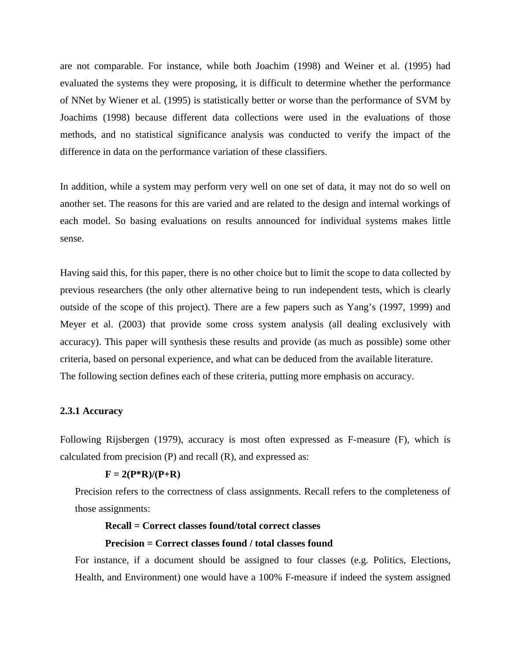are not comparable. For instance, while both Joachim (1998) and Weiner et al. (1995) had evaluated the systems they were proposing, it is difficult to determine whether the performance of NNet by Wiener et al. (1995) is statistically better or worse than the performance of SVM by Joachims (1998) because different data collections were used in the evaluations of those methods, and no statistical significance analysis was conducted to verify the impact of the difference in data on the performance variation of these classifiers.

In addition, while a system may perform very well on one set of data, it may not do so well on another set. The reasons for this are varied and are related to the design and internal workings of each model. So basing evaluations on results announced for individual systems makes little sense.

Having said this, for this paper, there is no other choice but to limit the scope to data collected by previous researchers (the only other alternative being to run independent tests, which is clearly outside of the scope of this project). There are a few papers such as Yang's (1997, 1999) and Meyer et al. (2003) that provide some cross system analysis (all dealing exclusively with accuracy). This paper will synthesis these results and provide (as much as possible) some other criteria, based on personal experience, and what can be deduced from the available literature. The following section defines each of these criteria, putting more emphasis on accuracy.

#### <span id="page-14-0"></span>**2.3.1 Accuracy**

Following Rijsbergen (1979), accuracy is most often expressed as F-measure (F), which is calculated from precision (P) and recall (R), and expressed as:

#### $F = 2(P^*R)/(P+R)$

Precision refers to the correctness of class assignments. Recall refers to the completeness of those assignments:

#### **Recall = Correct classes found/total correct classes**

#### **Precision = Correct classes found / total classes found**

For instance, if a document should be assigned to four classes (e.g. Politics, Elections, Health, and Environment) one would have a 100% F-measure if indeed the system assigned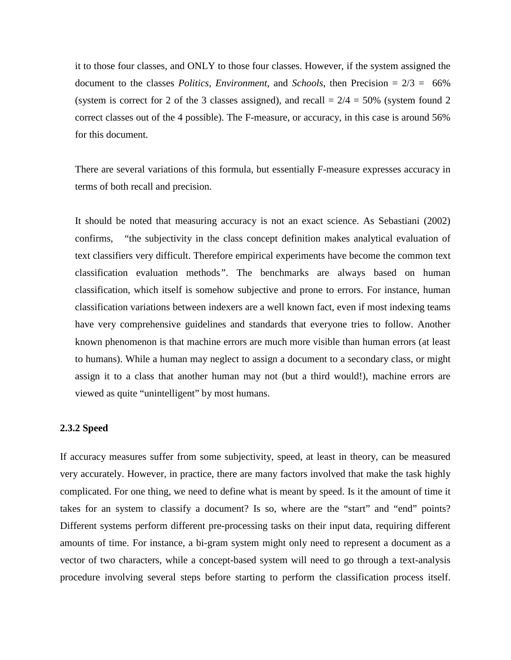it to those four classes, and ONLY to those four classes. However, if the system assigned the document to the classes *Politics*, *Environment*, and *Schools*, then Precision = 2/3 = 66% (system is correct for 2 of the 3 classes assigned), and recall  $= 2/4 = 50\%$  (system found 2 correct classes out of the 4 possible). The F-measure, or accuracy, in this case is around 56% for this document.

There are several variations of this formula, but essentially F-measure expresses accuracy in terms of both recall and precision.

It should be noted that measuring accuracy is not an exact science. As Sebastiani (2002) confirms, "the subjectivity in the class concept definition makes analytical evaluation of text classifiers very difficult. Therefore empirical experiments have become the common text classification evaluation methods*"*. The benchmarks are always based on human classification, which itself is somehow subjective and prone to errors. For instance, human classification variations between indexers are a well known fact, even if most indexing teams have very comprehensive guidelines and standards that everyone tries to follow. Another known phenomenon is that machine errors are much more visible than human errors (at least to humans). While a human may neglect to assign a document to a secondary class, or might assign it to a class that another human may not (but a third would!), machine errors are viewed as quite "unintelligent" by most humans.

### <span id="page-15-0"></span>**2.3.2 Speed**

If accuracy measures suffer from some subjectivity, speed, at least in theory, can be measured very accurately. However, in practice, there are many factors involved that make the task highly complicated. For one thing, we need to define what is meant by speed. Is it the amount of time it takes for an system to classify a document? Is so, where are the "start" and "end" points? Different systems perform different pre-processing tasks on their input data, requiring different amounts of time. For instance, a bi-gram system might only need to represent a document as a vector of two characters, while a concept-based system will need to go through a text-analysis procedure involving several steps before starting to perform the classification process itself.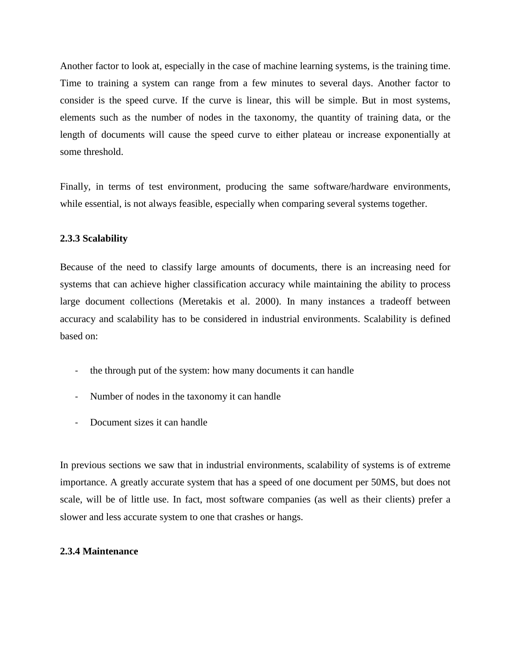Another factor to look at, especially in the case of machine learning systems, is the training time. Time to training a system can range from a few minutes to several days. Another factor to consider is the speed curve. If the curve is linear, this will be simple. But in most systems, elements such as the number of nodes in the taxonomy, the quantity of training data, or the length of documents will cause the speed curve to either plateau or increase exponentially at some threshold.

Finally, in terms of test environment, producing the same software/hardware environments, while essential, is not always feasible, especially when comparing several systems together.

### <span id="page-16-0"></span>**2.3.3 Scalability**

Because of the need to classify large amounts of documents, there is an increasing need for systems that can achieve higher classification accuracy while maintaining the ability to process large document collections (Meretakis et al. 2000). In many instances a tradeoff between accuracy and scalability has to be considered in industrial environments. Scalability is defined based on:

- the through put of the system: how many documents it can handle
- Number of nodes in the taxonomy it can handle
- Document sizes it can handle

In previous sections we saw that in industrial environments, scalability of systems is of extreme importance. A greatly accurate system that has a speed of one document per 50MS, but does not scale, will be of little use. In fact, most software companies (as well as their clients) prefer a slower and less accurate system to one that crashes or hangs.

#### <span id="page-16-1"></span>**2.3.4 Maintenance**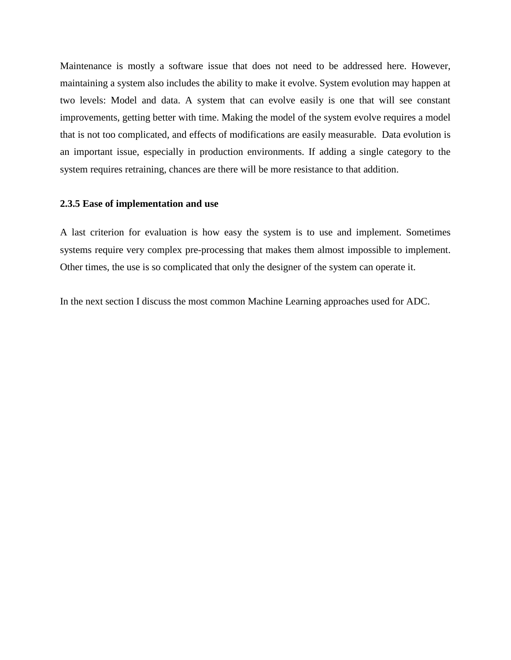Maintenance is mostly a software issue that does not need to be addressed here. However, maintaining a system also includes the ability to make it evolve. System evolution may happen at two levels: Model and data. A system that can evolve easily is one that will see constant improvements, getting better with time. Making the model of the system evolve requires a model that is not too complicated, and effects of modifications are easily measurable. Data evolution is an important issue, especially in production environments. If adding a single category to the system requires retraining, chances are there will be more resistance to that addition.

#### <span id="page-17-0"></span>**2.3.5 Ease of implementation and use**

A last criterion for evaluation is how easy the system is to use and implement. Sometimes systems require very complex pre-processing that makes them almost impossible to implement. Other times, the use is so complicated that only the designer of the system can operate it.

In the next section I discuss the most common Machine Learning approaches used for ADC.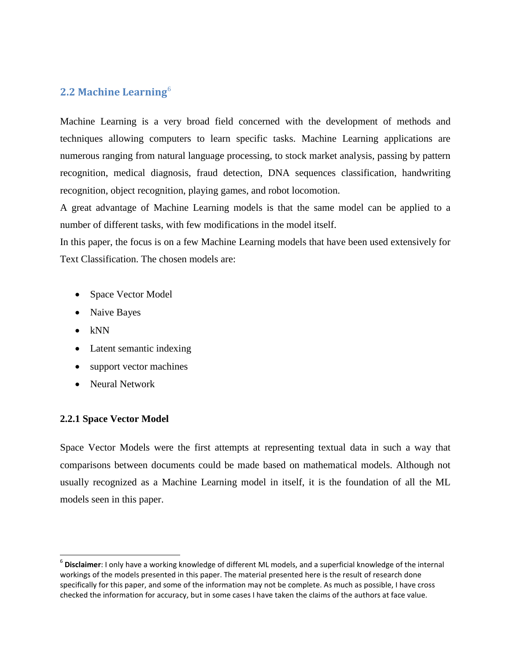### <span id="page-18-0"></span>**2.2 Machine Learning**[6](#page-18-2)

Machine Learning is a very broad field concerned with the development of methods and techniques allowing computers to learn specific tasks. Machine Learning applications are numerous ranging from natural language processing, to stock market analysis, passing by pattern recognition, medical diagnosis, fraud detection, DNA sequences classification, handwriting recognition, object recognition, playing games, and robot locomotion.

A great advantage of Machine Learning models is that the same model can be applied to a number of different tasks, with few modifications in the model itself.

In this paper, the focus is on a few Machine Learning models that have been used extensively for Text Classification. The chosen models are:

- Space Vector Model
- Naive Bayes
- kNN

- Latent semantic indexing
- support vector machines
- Neural Network

### <span id="page-18-1"></span>**2.2.1 Space Vector Model**

Space Vector Models were the first attempts at representing textual data in such a way that comparisons between documents could be made based on mathematical models. Although not usually recognized as a Machine Learning model in itself, it is the foundation of all the ML models seen in this paper.

<span id="page-18-2"></span><sup>6</sup> **Disclaimer**: I only have a working knowledge of different ML models, and a superficial knowledge of the internal workings of the models presented in this paper. The material presented here is the result of research done specifically for this paper, and some of the information may not be complete. As much as possible, I have cross checked the information for accuracy, but in some cases I have taken the claims of the authors at face value.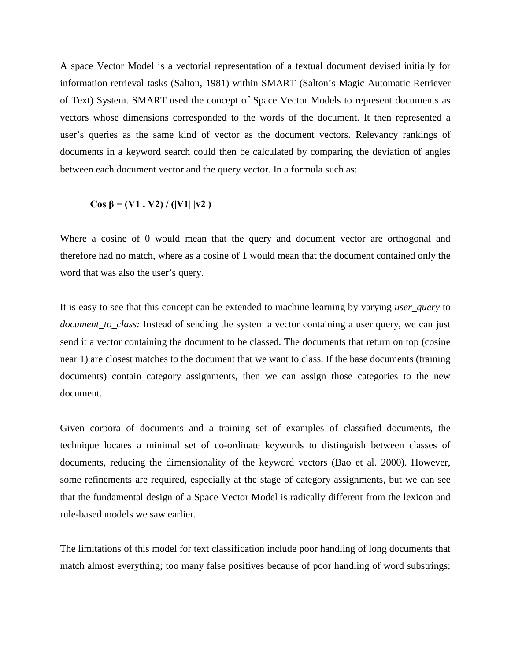A space Vector Model is a vectorial representation of a textual document devised initially for information retrieval tasks (Salton, 1981) within SMART (Salton's Magic Automatic Retriever of Text) System. SMART used the concept of Space Vector Models to represent documents as vectors whose dimensions corresponded to the words of the document. It then represented a user's queries as the same kind of vector as the document vectors. Relevancy rankings of documents in a keyword search could then be calculated by comparing the deviation of angles between each document vector and the query vector. In a formula such as:

**Cos β = (V1 . V2) / (|V1| |v2|)**

Where a cosine of 0 would mean that the query and document vector are orthogonal and therefore had no match, where as a cosine of 1 would mean that the document contained only the word that was also the user's query.

It is easy to see that this concept can be extended to machine learning by varying *user\_query* to *document\_to\_class:* Instead of sending the system a vector containing a user query, we can just send it a vector containing the document to be classed. The documents that return on top (cosine near 1) are closest matches to the document that we want to class. If the base documents (training documents) contain category assignments, then we can assign those categories to the new document.

Given corpora of documents and a training set of examples of classified documents, the technique locates a minimal set of co-ordinate keywords to distinguish between classes of documents, reducing the dimensionality of the keyword vectors (Bao et al. 2000). However, some refinements are required, especially at the stage of category assignments, but we can see that the fundamental design of a Space Vector Model is radically different from the lexicon and rule-based models we saw earlier.

The limitations of this model for text classification include poor handling of long documents that match almost everything; too many false positives because of poor handling of word substrings;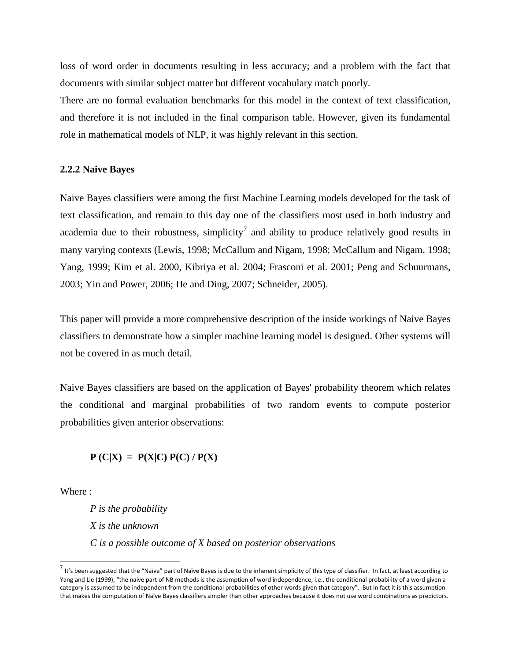loss of word order in documents resulting in less accuracy; and a problem with the fact that documents with similar subject matter but different vocabulary match poorly.

There are no formal evaluation benchmarks for this model in the context of text classification, and therefore it is not included in the final comparison table. However, given its fundamental role in mathematical models of NLP, it was highly relevant in this section.

#### <span id="page-20-0"></span>**2.2.2 Naive Bayes**

Naive Bayes classifiers were among the first Machine Learning models developed for the task of text classification, and remain to this day one of the classifiers most used in both industry and academia due to their robustness, simplicity<sup>[7](#page-20-1)</sup> and ability to produce relatively good results in many varying contexts (Lewis, 1998; McCallum and Nigam, 1998; McCallum and Nigam, 1998; Yang, 1999; Kim et al. 2000, Kibriya et al. 2004; Frasconi et al. 2001; Peng and Schuurmans, 2003; Yin and Power, 2006; He and Ding, 2007; Schneider, 2005).

This paper will provide a more comprehensive description of the inside workings of Naive Bayes classifiers to demonstrate how a simpler machine learning model is designed. Other systems will not be covered in as much detail.

Naive Bayes classifiers are based on the application of Bayes' probability theorem which relates the conditional and marginal probabilities of two random events to compute posterior probabilities given anterior observations:

 $P (C|X) = P(X|C) P(C) / P(X)$ 

Where :

-

*P is the probability X is the unknown C is a possible outcome of X based on posterior observations* 

<span id="page-20-1"></span> $^7$  It's been suggested that the "Naïve" part of Naïve Bayes is due to the inherent simplicity of this type of classifier. In fact, at least according to Yang and Lie (1999), "the naive part of NB methods is the assumption of word independence, i.e., the conditional probability of a word given a category is assumed to be independent from the conditional probabilities of other words given that category". But in fact it is this assumption that makes the computation of Naïve Bayes classifiers simpler than other approaches because it does not use word combinations as predictors.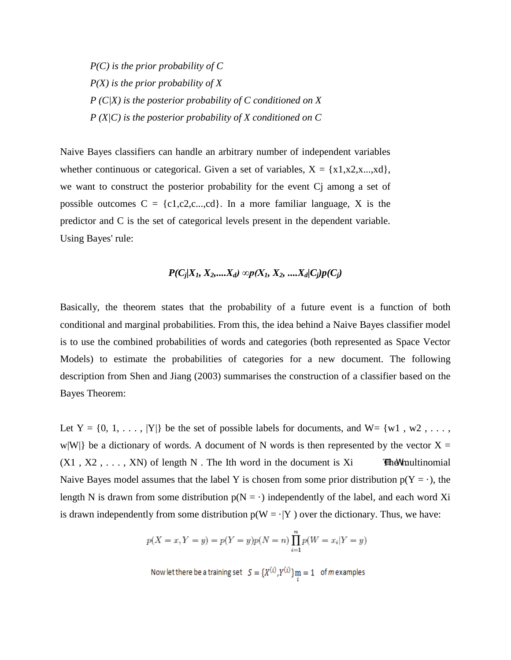*P(C) is the prior probability of C P(X) is the prior probability of X P (C|X) is the posterior probability of C conditioned on X P (X|C) is the posterior probability of X conditioned on C*

Naive Bayes classifiers can handle an arbitrary number of independent variables whether continuous or categorical. Given a set of variables,  $X = \{x1, x2, x... , xd\}$ , we want to construct the posterior probability for the event Cj among a set of possible outcomes  $C = \{c1, c2, c... , cd\}$ . In a more familiar language, X is the predictor and C is the set of categorical levels present in the dependent variable. Using Bayes' rule:

### *P*( $C_j$ | $X_1, X_2,$ .... $X_d$ ) ∞p( $X_1, X_2,$ .... $X_d$ | $C_i$ )p( $C_i$ )

Basically, the theorem states that the probability of a future event is a function of both conditional and marginal probabilities. From this, the idea behind a Naive Bayes classifier model is to use the combined probabilities of words and categories (both represented as Space Vector Models) to estimate the probabilities of categories for a new document. The following description from Shen and Jiang (2003) summarises the construction of a classifier based on the Bayes Theorem:

Let  $Y = \{0, 1, \ldots, |Y|\}$  be the set of possible labels for documents, and  $W = \{w1, w2, \ldots, w\}$ w|W|} be a dictionary of words. A document of N words is then represented by the vector  $X =$  $(X1, X2, \ldots, XN)$  of length N. The Ith word in the document is Xi **Ehe M** multinomial Naive Bayes model assumes that the label Y is chosen from some prior distribution  $p(Y = \cdot)$ , the length N is drawn from some distribution  $p(N = \cdot)$  independently of the label, and each word Xi is drawn independently from some distribution  $p(W = \cdot | Y)$  over the dictionary. Thus, we have:

$$
p(X = x, Y = y) = p(Y = y)p(N = n)\prod_{i=1}^{n}p(W = x_i|Y = y)
$$

Now let there be a training set  $S = {X^{(i)}, Y^{(i)}}$   $\prod_{i=1}^{n}$  of *m* examples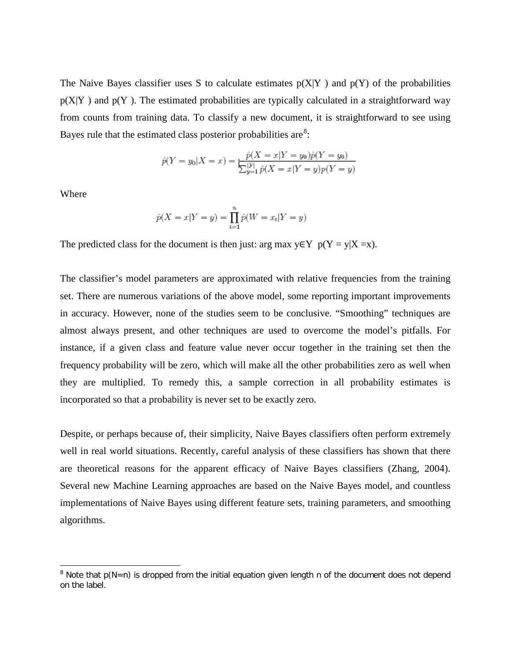The Naive Bayes classifier uses S to calculate estimates  $p(X|Y)$  and  $p(Y)$  of the probabilities  $p(X|Y)$  and  $p(Y)$ . The estimated probabilities are typically calculated in a straightforward way from counts from training data. To classify a new document, it is straightforward to see using Bayes rule that the estimated class posterior probabilities are $8$ :

$$
\hat{p}(Y = y_0 | X = x) = \frac{\hat{p}(X = x | Y = y_0)\hat{p}(Y = y_0)}{\sum_{y=1}^{|\mathcal{Y}|} \hat{p}(X = x | Y = y)p(Y = y)}
$$

Where

-

$$
\hat{p}(X = x | Y = y) = \prod_{i=1}^{n} \hat{p}(W = x_i | Y = y)
$$

The predicted class for the document is then just: arg max  $y \in Y$  p(Y = y|X =x).

The classifier's model parameters are approximated with relative frequencies from the training set. There are numerous variations of the above model, some reporting important improvements in accuracy. However, none of the studies seem to be conclusive. "Smoothing" techniques are almost always present, and other techniques are used to overcome the model's pitfalls. For instance, if a given class and feature value never occur together in the training set then the frequency probability will be zero, which will make all the other probabilities zero as well when they are multiplied. To remedy this, a sample correction in all probability estimates is incorporated so that a probability is never set to be exactly zero.

Despite, or perhaps because of, their simplicity, Naive Bayes classifiers often perform extremely well in real world situations. Recently, careful analysis of these classifiers has shown that there are theoretical reasons for the apparent efficacy of Naive Bayes classifiers (Zhang, 2004). Several new Machine Learning approaches are based on the Naive Bayes model, and countless implementations of Naive Bayes using different feature sets, training parameters, and smoothing algorithms.

<span id="page-22-0"></span> $8$  Note that  $p(N=n)$  is dropped from the initial equation given length n of the document does not depend on the label.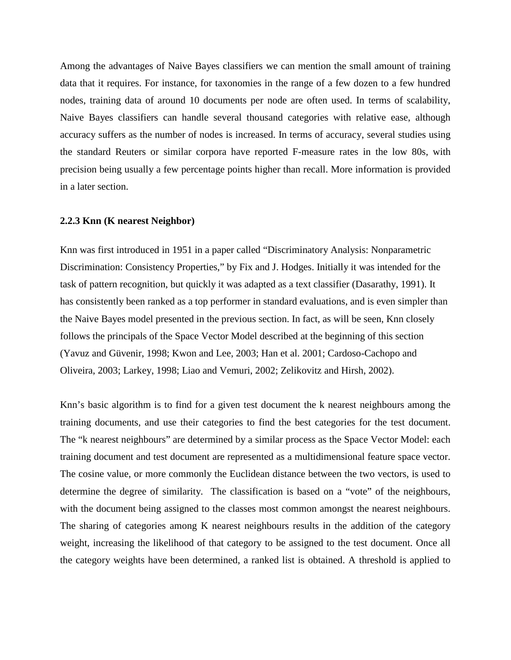Among the advantages of Naive Bayes classifiers we can mention the small amount of training data that it requires. For instance, for taxonomies in the range of a few dozen to a few hundred nodes, training data of around 10 documents per node are often used. In terms of scalability, Naive Bayes classifiers can handle several thousand categories with relative ease, although accuracy suffers as the number of nodes is increased. In terms of accuracy, several studies using the standard Reuters or similar corpora have reported F-measure rates in the low 80s, with precision being usually a few percentage points higher than recall. More information is provided in a later section.

#### <span id="page-23-0"></span>**2.2.3 Knn (K nearest Neighbor)**

Knn was first introduced in 1951 in a paper called "Discriminatory Analysis: Nonparametric Discrimination: Consistency Properties," by Fix and J. Hodges. Initially it was intended for the task of pattern recognition, but quickly it was adapted as a text classifier (Dasarathy, 1991). It has consistently been ranked as a top performer in standard evaluations, and is even simpler than the Naive Bayes model presented in the previous section. In fact, as will be seen, Knn closely follows the principals of the Space Vector Model described at the beginning of this section (Yavuz and Güvenir, 1998; Kwon and Lee, 2003; Han et al. 2001; Cardoso-Cachopo and Oliveira, 2003; Larkey, 1998; Liao and Vemuri, 2002; Zelikovitz and Hirsh, 2002).

Knn's basic algorithm is to find for a given test document the k nearest neighbours among the training documents, and use their categories to find the best categories for the test document. The "k nearest neighbours" are determined by a similar process as the Space Vector Model: each training document and test document are represented as a multidimensional feature space vector. The cosine value, or more commonly the Euclidean distance between the two vectors, is used to determine the degree of similarity. The classification is based on a "vote" of the neighbours, with the document being assigned to the classes most common amongst the nearest neighbours. The sharing of categories among K nearest neighbours results in the addition of the category weight, increasing the likelihood of that category to be assigned to the test document. Once all the category weights have been determined, a ranked list is obtained. A threshold is applied to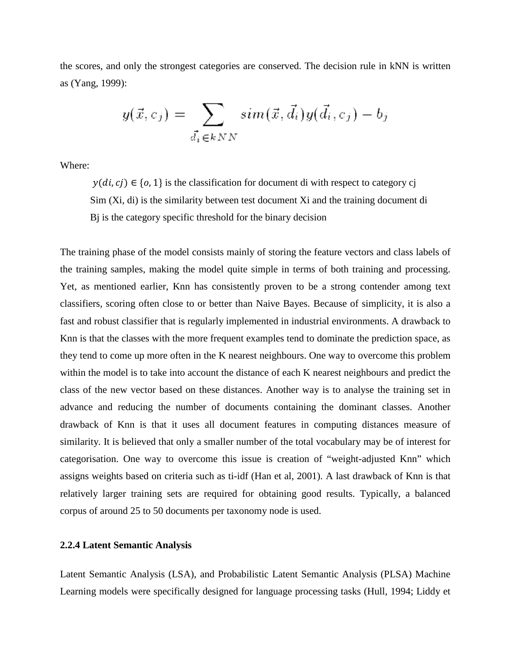the scores, and only the strongest categories are conserved. The decision rule in kNN is written as (Yang, 1999):

$$
y(\vec{x}, c_j) = \sum_{\vec{d}_i \in kNN} sim(\vec{x}, \vec{d}_i) y(\vec{d}_i, c_j) - b_j
$$

Where:

 $y(di, cj) \in \{0, 1\}$  is the classification for document di with respect to category cj Sim (Xi, di) is the similarity between test document Xi and the training document di Bj is the category specific threshold for the binary decision

The training phase of the model consists mainly of storing the feature vectors and class labels of the training samples, making the model quite simple in terms of both training and processing. Yet, as mentioned earlier, Knn has consistently proven to be a strong contender among text classifiers, scoring often close to or better than Naive Bayes. Because of simplicity, it is also a fast and robust classifier that is regularly implemented in industrial environments. A drawback to Knn is that the classes with the more frequent examples tend to dominate the prediction space, as they tend to come up more often in the K nearest neighbours. One way to overcome this problem within the model is to take into account the distance of each K nearest neighbours and predict the class of the new vector based on these distances. Another way is to analyse the training set in advance and reducing the number of documents containing the dominant classes. Another drawback of Knn is that it uses all document features in computing distances measure of similarity. It is believed that only a smaller number of the total vocabulary may be of interest for categorisation. One way to overcome this issue is creation of "weight-adjusted Knn" which assigns weights based on criteria such as ti-idf (Han et al, 2001). A last drawback of Knn is that relatively larger training sets are required for obtaining good results. Typically, a balanced corpus of around 25 to 50 documents per taxonomy node is used.

#### <span id="page-24-0"></span>**2.2.4 Latent Semantic Analysis**

Latent Semantic Analysis (LSA), and Probabilistic Latent Semantic Analysis (PLSA) Machine Learning models were specifically designed for language processing tasks (Hull, 1994; Liddy et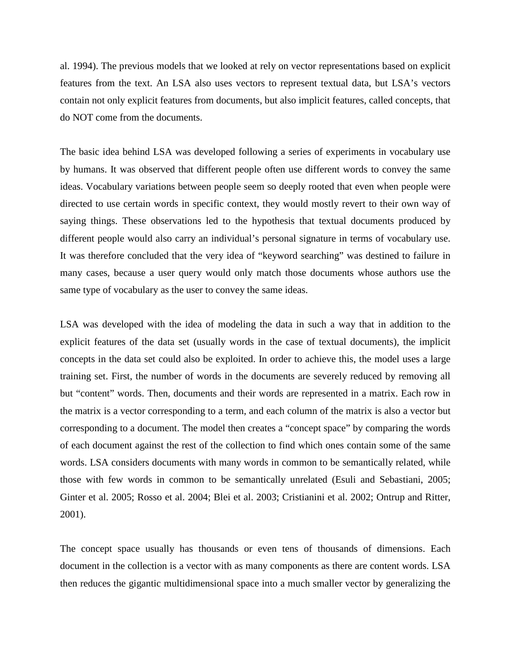al. 1994). The previous models that we looked at rely on vector representations based on explicit features from the text. An LSA also uses vectors to represent textual data, but LSA's vectors contain not only explicit features from documents, but also implicit features, called concepts, that do NOT come from the documents.

The basic idea behind LSA was developed following a series of experiments in vocabulary use by humans. It was observed that different people often use different words to convey the same ideas. Vocabulary variations between people seem so deeply rooted that even when people were directed to use certain words in specific context, they would mostly revert to their own way of saying things. These observations led to the hypothesis that textual documents produced by different people would also carry an individual's personal signature in terms of vocabulary use. It was therefore concluded that the very idea of "keyword searching" was destined to failure in many cases, because a user query would only match those documents whose authors use the same type of vocabulary as the user to convey the same ideas.

LSA was developed with the idea of modeling the data in such a way that in addition to the explicit features of the data set (usually words in the case of textual documents), the implicit concepts in the data set could also be exploited. In order to achieve this, the model uses a large training set. First, the number of words in the documents are severely reduced by removing all but "content" words. Then, documents and their words are represented in a matrix. Each row in the matrix is a vector corresponding to a term, and each column of the matrix is also a vector but corresponding to a document. The model then creates a "concept space" by comparing the words of each document against the rest of the collection to find which ones contain some of the same words. LSA considers documents with many words in common to be semantically related, while those with few words in common to be semantically unrelated (Esuli and Sebastiani, 2005; Ginter et al. 2005; Rosso et al. 2004; Blei et al. 2003; Cristianini et al. 2002; Ontrup and Ritter, 2001).

The concept space usually has thousands or even tens of thousands of dimensions. Each document in the collection is a vector with as many components as there are content words. LSA then reduces the gigantic multidimensional space into a much smaller vector by generalizing the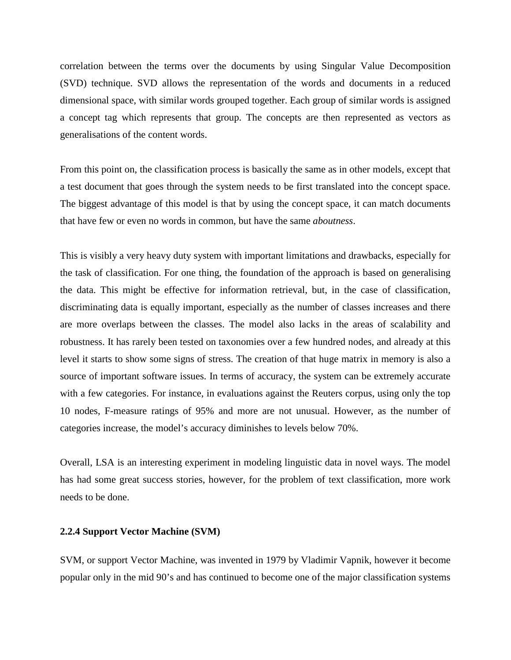correlation between the terms over the documents by using Singular Value Decomposition (SVD) technique. SVD allows the representation of the words and documents in a reduced dimensional space, with similar words grouped together. Each group of similar words is assigned a concept tag which represents that group. The concepts are then represented as vectors as generalisations of the content words.

From this point on, the classification process is basically the same as in other models, except that a test document that goes through the system needs to be first translated into the concept space. The biggest advantage of this model is that by using the concept space, it can match documents that have few or even no words in common, but have the same *aboutness*.

This is visibly a very heavy duty system with important limitations and drawbacks, especially for the task of classification. For one thing, the foundation of the approach is based on generalising the data. This might be effective for information retrieval, but, in the case of classification, discriminating data is equally important, especially as the number of classes increases and there are more overlaps between the classes. The model also lacks in the areas of scalability and robustness. It has rarely been tested on taxonomies over a few hundred nodes, and already at this level it starts to show some signs of stress. The creation of that huge matrix in memory is also a source of important software issues. In terms of accuracy, the system can be extremely accurate with a few categories. For instance, in evaluations against the Reuters corpus, using only the top 10 nodes, F-measure ratings of 95% and more are not unusual. However, as the number of categories increase, the model's accuracy diminishes to levels below 70%.

Overall, LSA is an interesting experiment in modeling linguistic data in novel ways. The model has had some great success stories, however, for the problem of text classification, more work needs to be done.

#### <span id="page-26-0"></span>**2.2.4 Support Vector Machine (SVM)**

SVM, or support Vector Machine, was invented in 1979 by Vladimir Vapnik, however it become popular only in the mid 90's and has continued to become one of the major classification systems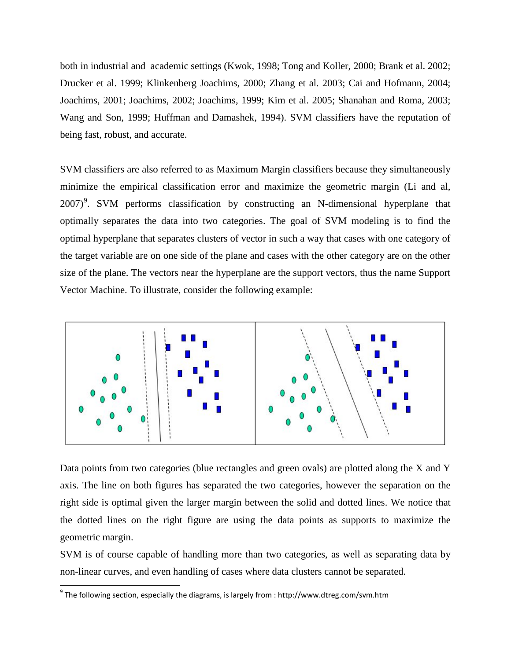both in industrial and academic settings (Kwok, 1998; Tong and Koller, 2000; Brank et al. 2002; Drucker et al. 1999; Klinkenberg Joachims, 2000; Zhang et al. 2003; Cai and Hofmann, 2004; Joachims, 2001; Joachims, 2002; Joachims, 1999; Kim et al. 2005; Shanahan and Roma, 2003; Wang and Son, 1999; Huffman and Damashek, 1994). SVM classifiers have the reputation of being fast, robust, and accurate.

SVM classifiers are also referred to as Maximum Margin classifiers because they simultaneously minimize the empirical classification error and maximize the geometric margin (Li and al, 2007)<sup>[9](#page-27-0)</sup>. SVM performs classification by constructing an N-dimensional hyperplane that optimally separates the data into two categories. The goal of SVM modeling is to find the optimal hyperplane that separates clusters of vector in such a way that cases with one category of the target variable are on one side of the plane and cases with the other category are on the other size of the plane. The vectors near the hyperplane are the support vectors, thus the name Support Vector Machine. To illustrate, consider the following example:



Data points from two categories (blue rectangles and green ovals) are plotted along the X and Y axis. The line on both figures has separated the two categories, however the separation on the right side is optimal given the larger margin between the solid and dotted lines. We notice that the dotted lines on the right figure are using the data points as supports to maximize the geometric margin.

SVM is of course capable of handling more than two categories, as well as separating data by non-linear curves, and even handling of cases where data clusters cannot be separated.

-

<span id="page-27-0"></span> $9^9$  The following section, especially the diagrams, is largely from : http://www.dtreg.com/svm.htm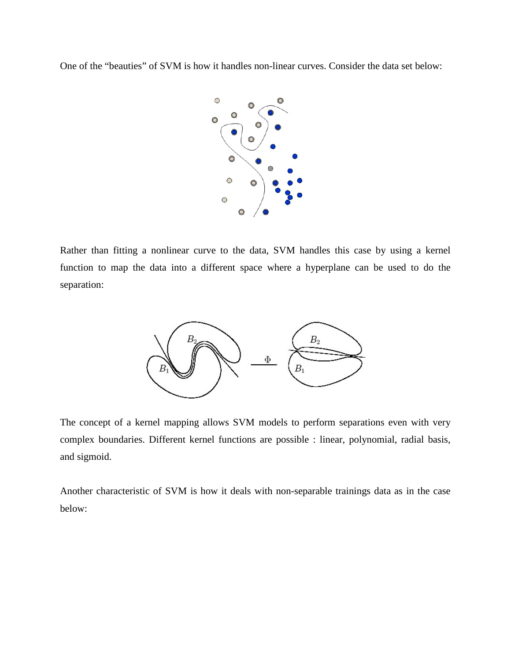One of the "beauties" of SVM is how it handles non-linear curves. Consider the data set below:



Rather than fitting a nonlinear curve to the data, SVM handles this case by using a kernel function to map the data into a different space where a hyperplane can be used to do the separation:



The concept of a kernel mapping allows SVM models to perform separations even with very complex boundaries. Different kernel functions are possible : linear, polynomial, radial basis, and sigmoid.

Another characteristic of SVM is how it deals with non-separable trainings data as in the case below: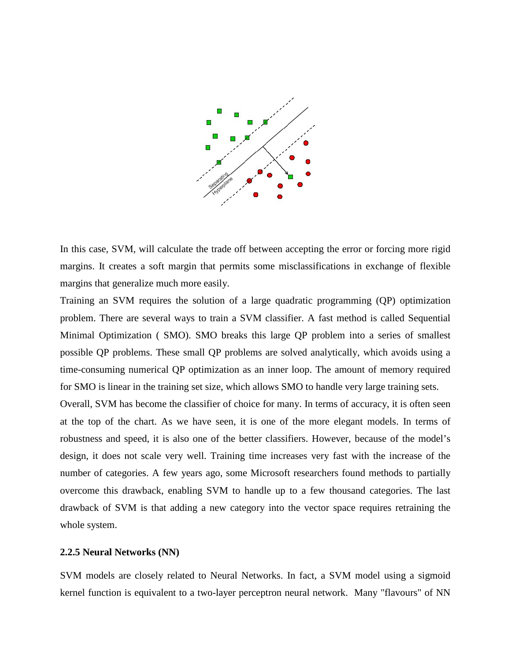

In this case, SVM, will calculate the trade off between accepting the error or forcing more rigid margins. It creates a soft margin that permits some misclassifications in exchange of flexible margins that generalize much more easily.

Training an SVM requires the solution of a large quadratic programming (QP) optimization problem. There are several ways to train a SVM classifier. A fast method is called Sequential Minimal Optimization ( SMO). SMO breaks this large QP problem into a series of smallest possible QP problems. These small QP problems are solved analytically, which avoids using a time-consuming numerical QP optimization as an inner loop. The amount of memory required for SMO is linear in the training set size, which allows SMO to handle very large training sets.

Overall, SVM has become the classifier of choice for many. In terms of accuracy, it is often seen at the top of the chart. As we have seen, it is one of the more elegant models. In terms of robustness and speed, it is also one of the better classifiers. However, because of the model's design, it does not scale very well. Training time increases very fast with the increase of the number of categories. A few years ago, some Microsoft researchers found methods to partially overcome this drawback, enabling SVM to handle up to a few thousand categories. The last drawback of SVM is that adding a new category into the vector space requires retraining the whole system.

#### <span id="page-29-0"></span>**2.2.5 Neural Networks (NN)**

SVM models are closely related to Neural Networks. In fact, a SVM model using a sigmoid kernel function is equivalent to a two-layer [perceptron neural network.](http://www.dtreg.com/mlfn.htm) Many "flavours" of NN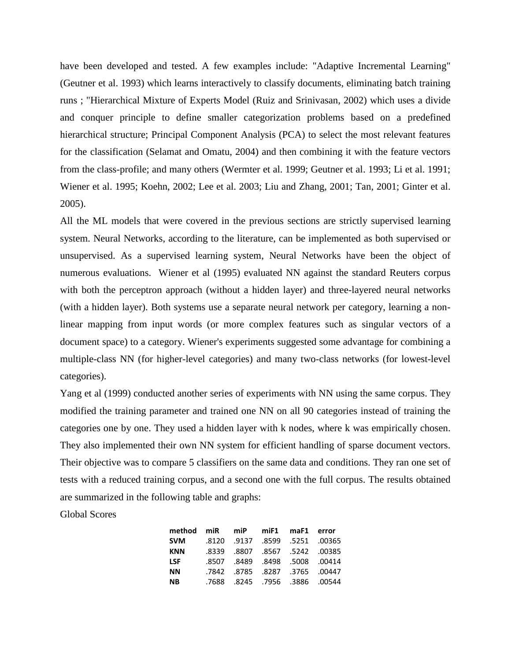have been developed and tested. A few examples include: "Adaptive Incremental Learning" (Geutner et al. 1993) which learns interactively to classify documents, eliminating batch training runs ; "Hierarchical Mixture of Experts Model (Ruiz and Srinivasan, 2002) which uses a divide and conquer principle to define smaller categorization problems based on a predefined hierarchical structure; Principal Component Analysis (PCA) to select the most relevant features for the classification (Selamat and Omatu, 2004) and then combining it with the feature vectors from the class-profile; and many others (Wermter et al. 1999; Geutner et al. 1993; Li et al. 1991; Wiener et al. 1995; Koehn, 2002; Lee et al. 2003; Liu and Zhang, 2001; Tan, 2001; Ginter et al. 2005).

All the ML models that were covered in the previous sections are strictly supervised learning system. Neural Networks, according to the literature, can be implemented as both supervised or unsupervised. As a supervised learning system, Neural Networks have been the object of numerous evaluations. Wiener et al (1995) evaluated NN against the standard Reuters corpus with both the perceptron approach (without a hidden layer) and three-layered neural networks (with a hidden layer). Both systems use a separate neural network per category, learning a nonlinear mapping from input words (or more complex features such as singular vectors of a document space) to a category. Wiener's experiments suggested some advantage for combining a multiple-class NN (for higher-level categories) and many two-class networks (for lowest-level categories).

Yang et al (1999) conducted another series of experiments with NN using the same corpus. They modified the training parameter and trained one NN on all 90 categories instead of training the categories one by one. They used a hidden layer with k nodes, where k was empirically chosen. They also implemented their own NN system for efficient handling of sparse document vectors. Their objective was to compare 5 classifiers on the same data and conditions. They ran one set of tests with a reduced training corpus, and a second one with the full corpus. The results obtained are summarized in the following table and graphs:

Global Scores

| method miR miP miF1 maF1 error |  |                                |  |
|--------------------------------|--|--------------------------------|--|
| <b>SVM</b>                     |  | .8120 .9137 .8599 .5251 .00365 |  |
| <b>KNN</b>                     |  | .8339 .8807 .8567 .5242 .00385 |  |
| <b>LSF</b>                     |  | .8507 .8489 .8498 .5008 .00414 |  |
| <b>NN</b>                      |  | .7842 .8785 .8287 .3765 .00447 |  |
| <b>NB</b>                      |  | .7688 .8245 .7956 .3886 .7688  |  |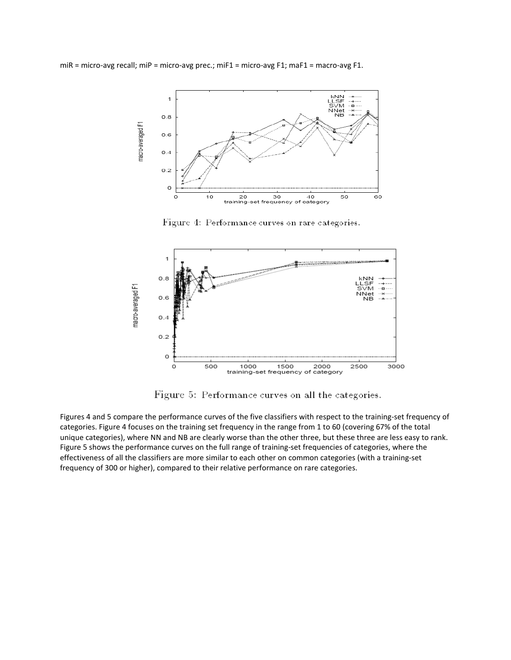miR = micro-avg recall; miP = micro-avg prec.; miF1 = micro-avg F1; maF1 = macro-avg F1.



Figure 4: Performance curves on rare categories.



Figure 5: Performance curves on all the categories.

Figures 4 and 5 compare the performance curves of the five classifiers with respect to the training-set frequency of categories. Figure 4 focuses on the training set frequency in the range from 1 to 60 (covering 67% of the total unique categories), where NN and NB are clearly worse than the other three, but these three are less easy to rank. Figure 5 shows the performance curves on the full range of training-set frequencies of categories, where the effectiveness of all the classifiers are more similar to each other on common categories (with a training-set frequency of 300 or higher), compared to their relative performance on rare categories.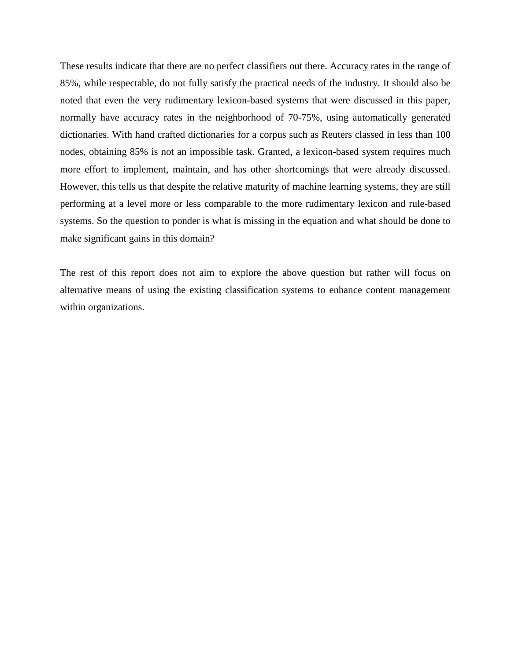These results indicate that there are no perfect classifiers out there. Accuracy rates in the range of 85%, while respectable, do not fully satisfy the practical needs of the industry. It should also be noted that even the very rudimentary lexicon-based systems that were discussed in this paper, normally have accuracy rates in the neighborhood of 70-75%, using automatically generated dictionaries. With hand crafted dictionaries for a corpus such as Reuters classed in less than 100 nodes, obtaining 85% is not an impossible task. Granted, a lexicon-based system requires much more effort to implement, maintain, and has other shortcomings that were already discussed. However, this tells us that despite the relative maturity of machine learning systems, they are still performing at a level more or less comparable to the more rudimentary lexicon and rule-based systems. So the question to ponder is what is missing in the equation and what should be done to make significant gains in this domain?

The rest of this report does not aim to explore the above question but rather will focus on alternative means of using the existing classification systems to enhance content management within organizations.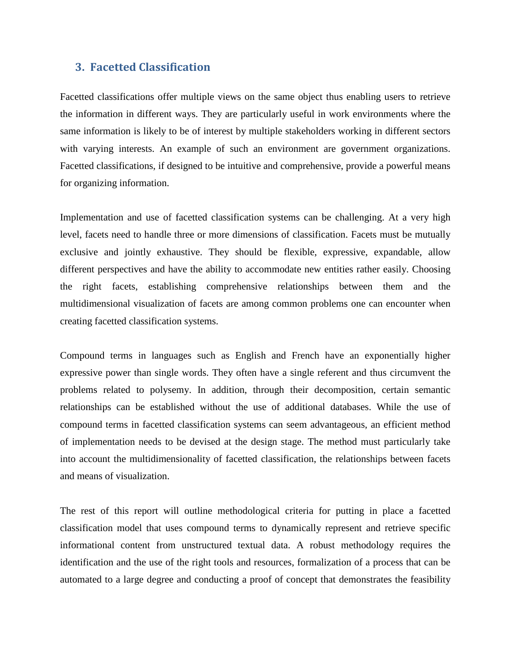### <span id="page-33-0"></span>**3. Facetted Classification**

Facetted classifications offer multiple views on the same object thus enabling users to retrieve the information in different ways. They are particularly useful in work environments where the same information is likely to be of interest by multiple stakeholders working in different sectors with varying interests. An example of such an environment are government organizations. Facetted classifications, if designed to be intuitive and comprehensive, provide a powerful means for organizing information.

Implementation and use of facetted classification systems can be challenging. At a very high level, facets need to handle three or more dimensions of classification. Facets must be mutually exclusive and jointly exhaustive. They should be flexible, expressive, expandable, allow different perspectives and have the ability to accommodate new entities rather easily. Choosing the right facets, establishing comprehensive relationships between them and the multidimensional visualization of facets are among common problems one can encounter when creating facetted classification systems.

Compound terms in languages such as English and French have an exponentially higher expressive power than single words. They often have a single referent and thus circumvent the problems related to polysemy. In addition, through their decomposition, certain semantic relationships can be established without the use of additional databases. While the use of compound terms in facetted classification systems can seem advantageous, an efficient method of implementation needs to be devised at the design stage. The method must particularly take into account the multidimensionality of facetted classification, the relationships between facets and means of visualization.

The rest of this report will outline methodological criteria for putting in place a facetted classification model that uses compound terms to dynamically represent and retrieve specific informational content from unstructured textual data. A robust methodology requires the identification and the use of the right tools and resources, formalization of a process that can be automated to a large degree and conducting a proof of concept that demonstrates the feasibility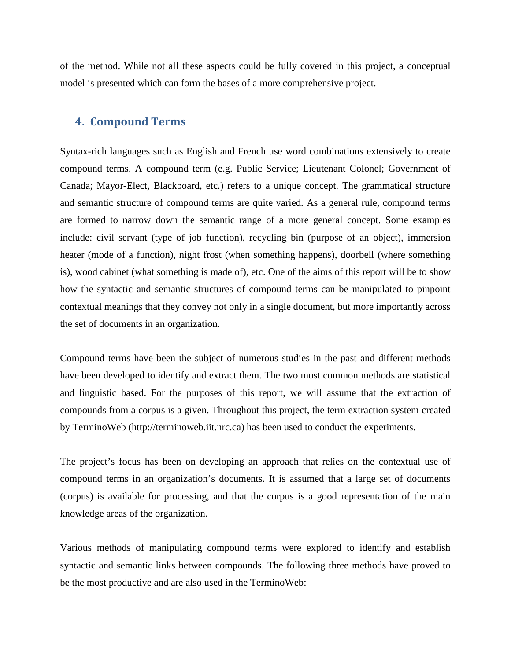of the method. While not all these aspects could be fully covered in this project, a conceptual model is presented which can form the bases of a more comprehensive project.

### <span id="page-34-0"></span>**4. Compound Terms**

Syntax-rich languages such as English and French use word combinations extensively to create compound terms. A compound term (e.g. Public Service; Lieutenant Colonel; Government of Canada; Mayor-Elect, Blackboard, etc.) refers to a unique concept. The grammatical structure and semantic structure of compound terms are quite varied. As a general rule, compound terms are formed to narrow down the semantic range of a more general concept. Some examples include: civil servant (type of job function), recycling bin (purpose of an object), immersion heater (mode of a function), night frost (when something happens), doorbell (where something is), wood cabinet (what something is made of), etc. One of the aims of this report will be to show how the syntactic and semantic structures of compound terms can be manipulated to pinpoint contextual meanings that they convey not only in a single document, but more importantly across the set of documents in an organization.

Compound terms have been the subject of numerous studies in the past and different methods have been developed to identify and extract them. The two most common methods are statistical and linguistic based. For the purposes of this report, we will assume that the extraction of compounds from a corpus is a given. Throughout this project, the term extraction system created by TerminoWeb [\(http://terminoweb.iit.nrc.ca\)](http://terminoweb.iit.nrc.ca/) has been used to conduct the experiments.

The project's focus has been on developing an approach that relies on the contextual use of compound terms in an organization's documents. It is assumed that a large set of documents (corpus) is available for processing, and that the corpus is a good representation of the main knowledge areas of the organization.

Various methods of manipulating compound terms were explored to identify and establish syntactic and semantic links between compounds. The following three methods have proved to be the most productive and are also used in the TerminoWeb: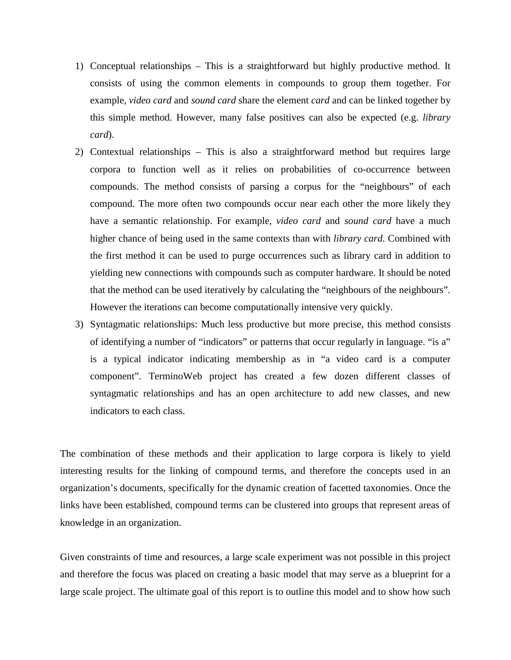- 1) Conceptual relationships This is a straightforward but highly productive method. It consists of using the common elements in compounds to group them together. For example, *video card* and *sound card* share the element *card* and can be linked together by this simple method. However, many false positives can also be expected (e.g. *library card*).
- 2) Contextual relationships This is also a straightforward method but requires large corpora to function well as it relies on probabilities of co-occurrence between compounds. The method consists of parsing a corpus for the "neighbours" of each compound. The more often two compounds occur near each other the more likely they have a semantic relationship. For example, *video card* and *sound card* have a much higher chance of being used in the same contexts than with *library card*. Combined with the first method it can be used to purge occurrences such as library card in addition to yielding new connections with compounds such as computer hardware. It should be noted that the method can be used iteratively by calculating the "neighbours of the neighbours". However the iterations can become computationally intensive very quickly.
- 3) Syntagmatic relationships: Much less productive but more precise, this method consists of identifying a number of "indicators" or patterns that occur regularly in language. "is a" is a typical indicator indicating membership as in "a video card is a computer component". TerminoWeb project has created a few dozen different classes of syntagmatic relationships and has an open architecture to add new classes, and new indicators to each class.

The combination of these methods and their application to large corpora is likely to yield interesting results for the linking of compound terms, and therefore the concepts used in an organization's documents, specifically for the dynamic creation of facetted taxonomies. Once the links have been established, compound terms can be clustered into groups that represent areas of knowledge in an organization.

Given constraints of time and resources, a large scale experiment was not possible in this project and therefore the focus was placed on creating a basic model that may serve as a blueprint for a large scale project. The ultimate goal of this report is to outline this model and to show how such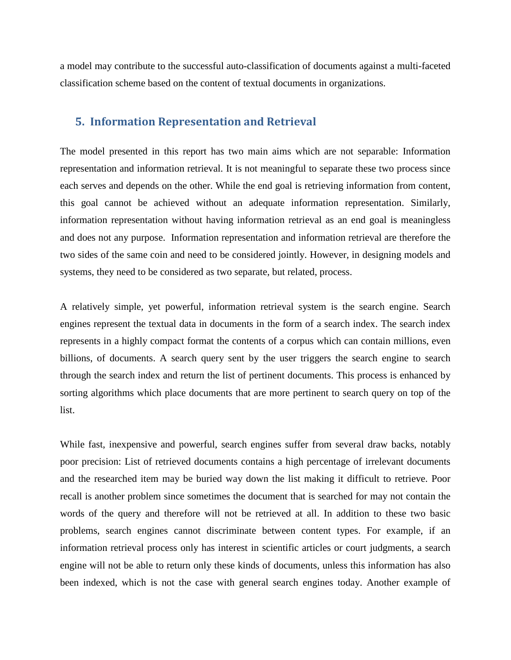a model may contribute to the successful auto-classification of documents against a multi-faceted classification scheme based on the content of textual documents in organizations.

### <span id="page-36-0"></span>**5. Information Representation and Retrieval**

The model presented in this report has two main aims which are not separable: Information representation and information retrieval. It is not meaningful to separate these two process since each serves and depends on the other. While the end goal is retrieving information from content, this goal cannot be achieved without an adequate information representation. Similarly, information representation without having information retrieval as an end goal is meaningless and does not any purpose. Information representation and information retrieval are therefore the two sides of the same coin and need to be considered jointly. However, in designing models and systems, they need to be considered as two separate, but related, process.

A relatively simple, yet powerful, information retrieval system is the search engine. Search engines represent the textual data in documents in the form of a search index. The search index represents in a highly compact format the contents of a corpus which can contain millions, even billions, of documents. A search query sent by the user triggers the search engine to search through the search index and return the list of pertinent documents. This process is enhanced by sorting algorithms which place documents that are more pertinent to search query on top of the list.

While fast, inexpensive and powerful, search engines suffer from several draw backs, notably poor precision: List of retrieved documents contains a high percentage of irrelevant documents and the researched item may be buried way down the list making it difficult to retrieve. Poor recall is another problem since sometimes the document that is searched for may not contain the words of the query and therefore will not be retrieved at all. In addition to these two basic problems, search engines cannot discriminate between content types. For example, if an information retrieval process only has interest in scientific articles or court judgments, a search engine will not be able to return only these kinds of documents, unless this information has also been indexed, which is not the case with general search engines today. Another example of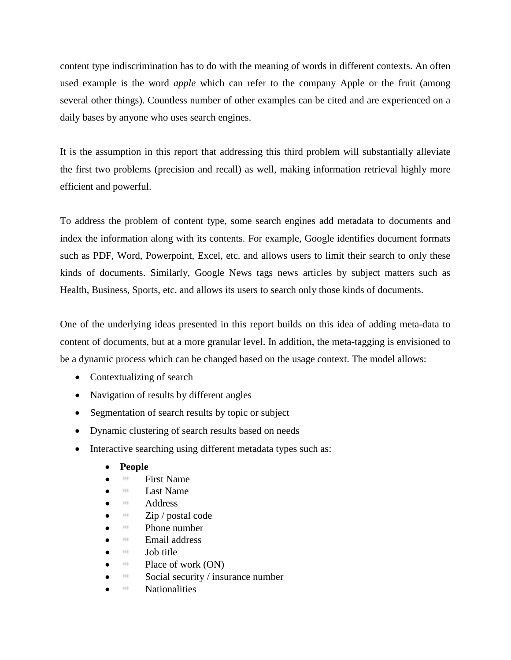content type indiscrimination has to do with the meaning of words in different contexts. An often used example is the word *apple* which can refer to the company Apple or the fruit (among several other things). Countless number of other examples can be cited and are experienced on a daily bases by anyone who uses search engines.

It is the assumption in this report that addressing this third problem will substantially alleviate the first two problems (precision and recall) as well, making information retrieval highly more efficient and powerful.

To address the problem of content type, some search engines add metadata to documents and index the information along with its contents. For example, Google identifies document formats such as PDF, Word, Powerpoint, Excel, etc. and allows users to limit their search to only these kinds of documents. Similarly, Google News tags news articles by subject matters such as Health, Business, Sports, etc. and allows its users to search only those kinds of documents.

One of the underlying ideas presented in this report builds on this idea of adding meta-data to content of documents, but at a more granular level. In addition, the meta-tagging is envisioned to be a dynamic process which can be changed based on the usage context. The model allows:

- Contextualizing of search
- Navigation of results by different angles
- Segmentation of search results by topic or subject
- Dynamic clustering of search results based on needs
- Interactive searching using different metadata types such as:
	- **People**
	- **First Name**
	- **Last Name**
	- <sup>•</sup> Address
	- $\overline{\text{zip}}$  / postal code
	- Phone number
	- $\mathbb{H}$  Email address
	- $\blacksquare$  Job title
	- Place of work (ON)
	- $\bullet$  Social security / insurance number
	- **Nationalities**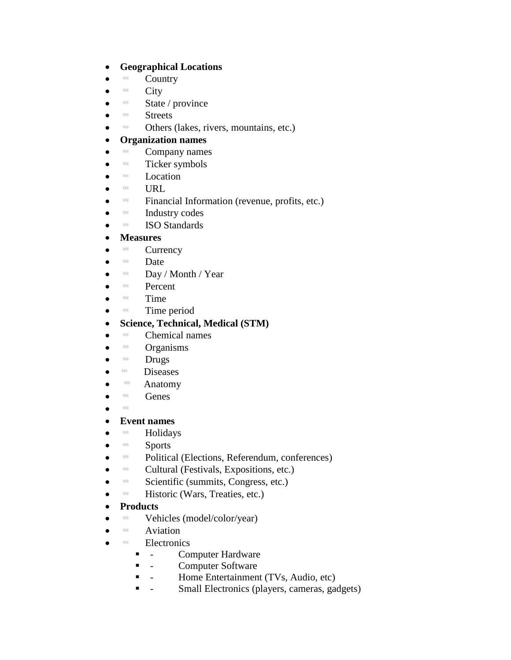### • **Geographical Locations**

- **Country**
- $\bullet$   $\qquad$   $\qquad$   $\qquad$   $\qquad$   $\qquad$   $\qquad$   $\qquad$   $\qquad$   $\qquad$   $\qquad$   $\qquad$   $\qquad$   $\qquad$   $\qquad$   $\qquad$   $\qquad$   $\qquad$   $\qquad$   $\qquad$   $\qquad$   $\qquad$   $\qquad$   $\qquad$   $\qquad$   $\qquad$   $\qquad$   $\qquad$   $\qquad$   $\qquad$   $\qquad$   $\qquad$   $\qquad$   $\qquad$   $\qquad$   $\qquad$   $\qquad$
- $\mathbb{R}$  State / province
- III Streets
- **III** Others (lakes, rivers, mountains, etc.)

### • **Organization names**

- $^{\text{m}}$  Company names
- $\bullet$  **Ticker symbols**
- **Location**
- URL
- **Financial Information (revenue, profits, etc.)**
- Industry codes
- **ISO Standards**

### • **Measures**

- **Currency**
- **Date**
- $\blacksquare$  Day / Month / Year
- **Percent**
- $\bullet$   $\blacksquare$  Time
- $\bullet$  **Time period**

### • **Science, Technical, Medical (STM)**

- **Chemical names**
- **III** Organisms
- $\bullet$   $\blacksquare$  Drugs
- <sup>•</sup> Diseases
- **Anatomy**
- III Genes
- 100

### • **Event names**

- **Holidays**
- III Sports
- **Political (Elections, Referendum, conferences)**
- **Cultural (Festivals, Expositions, etc.)**
- Scientific (summits, Congress, etc.)
- **Historic (Wars, Treaties, etc.)**

### • **Products**

- **Wehicles** (model/color/year)
- **Aviation**
- **Electronics** 
	- **-** Computer Hardware
	- **-** Computer Software
	- Home Entertainment (TVs, Audio, etc)
	- Small Electronics (players, cameras, gadgets)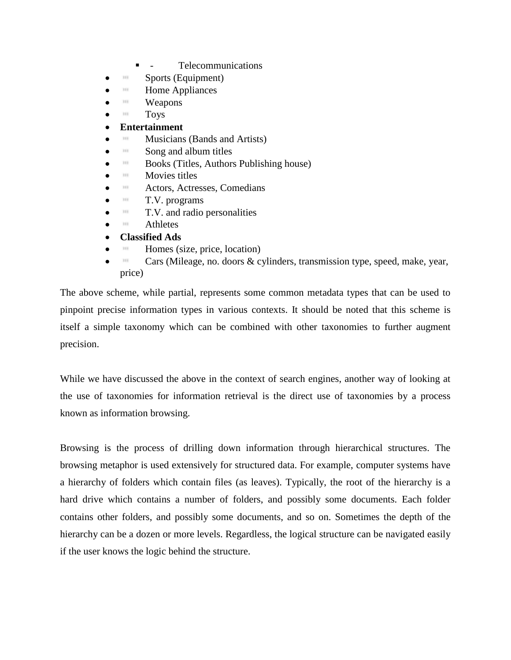- **-** Telecommunications
- $\bullet$  **Sports (Equipment)**
- **Home Appliances**
- $W$ eapons
- $\blacksquare$  Toys

### • **Entertainment**

- Musicians (Bands and Artists)
- $\mathbb{I}$  Song and album titles
- Books (Titles, Authors Publishing house)
- **Movies titles**
- Actors, Actresses, Comedians
- $\blacksquare$  T.V. programs
- **T.V.** and radio personalities
- **Athletes**
- **Classified Ads**
- Homes (size, price, location)
- Cars (Mileage, no. doors & cylinders, transmission type, speed, make, year, price)

The above scheme, while partial, represents some common metadata types that can be used to pinpoint precise information types in various contexts. It should be noted that this scheme is itself a simple taxonomy which can be combined with other taxonomies to further augment precision.

While we have discussed the above in the context of search engines, another way of looking at the use of taxonomies for information retrieval is the direct use of taxonomies by a process known as information browsing.

Browsing is the process of drilling down information through hierarchical structures. The browsing metaphor is used extensively for structured data. For example, computer systems have a hierarchy of folders which contain files (as leaves). Typically, the root of the hierarchy is a hard drive which contains a number of folders, and possibly some documents. Each folder contains other folders, and possibly some documents, and so on. Sometimes the depth of the hierarchy can be a dozen or more levels. Regardless, the logical structure can be navigated easily if the user knows the logic behind the structure.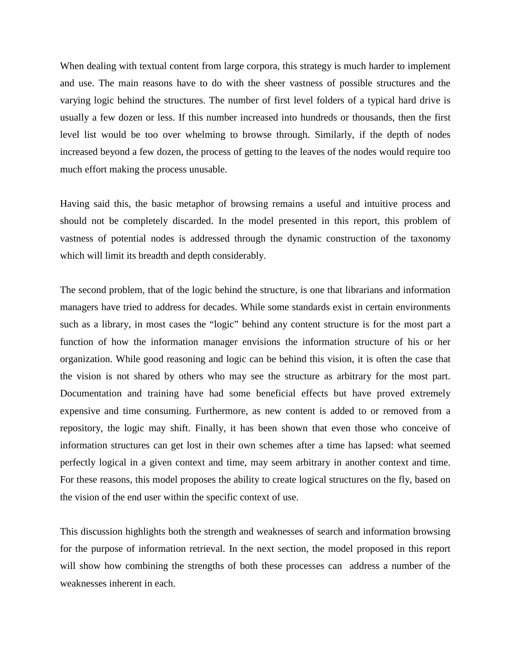When dealing with textual content from large corpora, this strategy is much harder to implement and use. The main reasons have to do with the sheer vastness of possible structures and the varying logic behind the structures. The number of first level folders of a typical hard drive is usually a few dozen or less. If this number increased into hundreds or thousands, then the first level list would be too over whelming to browse through. Similarly, if the depth of nodes increased beyond a few dozen, the process of getting to the leaves of the nodes would require too much effort making the process unusable.

Having said this, the basic metaphor of browsing remains a useful and intuitive process and should not be completely discarded. In the model presented in this report, this problem of vastness of potential nodes is addressed through the dynamic construction of the taxonomy which will limit its breadth and depth considerably.

The second problem, that of the logic behind the structure, is one that librarians and information managers have tried to address for decades. While some standards exist in certain environments such as a library, in most cases the "logic" behind any content structure is for the most part a function of how the information manager envisions the information structure of his or her organization. While good reasoning and logic can be behind this vision, it is often the case that the vision is not shared by others who may see the structure as arbitrary for the most part. Documentation and training have had some beneficial effects but have proved extremely expensive and time consuming. Furthermore, as new content is added to or removed from a repository, the logic may shift. Finally, it has been shown that even those who conceive of information structures can get lost in their own schemes after a time has lapsed: what seemed perfectly logical in a given context and time, may seem arbitrary in another context and time. For these reasons, this model proposes the ability to create logical structures on the fly, based on the vision of the end user within the specific context of use.

This discussion highlights both the strength and weaknesses of search and information browsing for the purpose of information retrieval. In the next section, the model proposed in this report will show how combining the strengths of both these processes can address a number of the weaknesses inherent in each.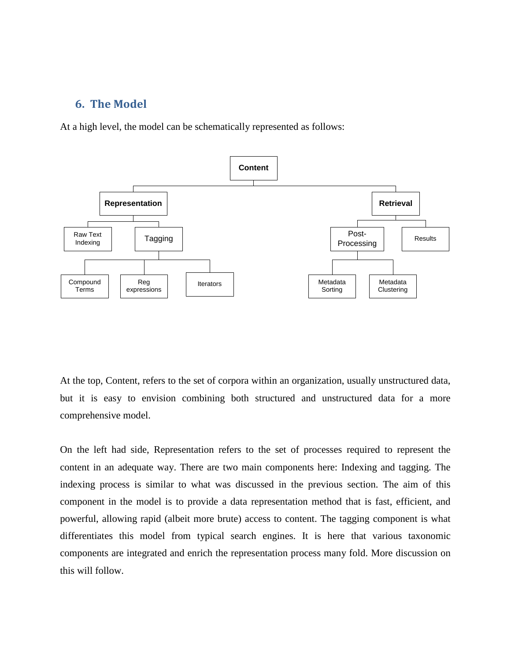### <span id="page-41-0"></span>**6. The Model**

At a high level, the model can be schematically represented as follows:



At the top, Content, refers to the set of corpora within an organization, usually unstructured data, but it is easy to envision combining both structured and unstructured data for a more comprehensive model.

On the left had side, Representation refers to the set of processes required to represent the content in an adequate way. There are two main components here: Indexing and tagging. The indexing process is similar to what was discussed in the previous section. The aim of this component in the model is to provide a data representation method that is fast, efficient, and powerful, allowing rapid (albeit more brute) access to content. The tagging component is what differentiates this model from typical search engines. It is here that various taxonomic components are integrated and enrich the representation process many fold. More discussion on this will follow.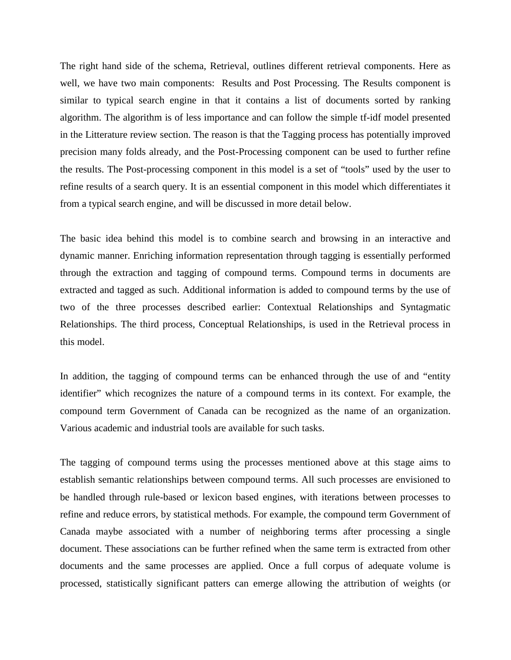The right hand side of the schema, Retrieval, outlines different retrieval components. Here as well, we have two main components: Results and Post Processing. The Results component is similar to typical search engine in that it contains a list of documents sorted by ranking algorithm. The algorithm is of less importance and can follow the simple tf-idf model presented in the Litterature review section. The reason is that the Tagging process has potentially improved precision many folds already, and the Post-Processing component can be used to further refine the results. The Post-processing component in this model is a set of "tools" used by the user to refine results of a search query. It is an essential component in this model which differentiates it from a typical search engine, and will be discussed in more detail below.

The basic idea behind this model is to combine search and browsing in an interactive and dynamic manner. Enriching information representation through tagging is essentially performed through the extraction and tagging of compound terms. Compound terms in documents are extracted and tagged as such. Additional information is added to compound terms by the use of two of the three processes described earlier: Contextual Relationships and Syntagmatic Relationships. The third process, Conceptual Relationships, is used in the Retrieval process in this model.

In addition, the tagging of compound terms can be enhanced through the use of and "entity identifier" which recognizes the nature of a compound terms in its context. For example, the compound term Government of Canada can be recognized as the name of an organization. Various academic and industrial tools are available for such tasks.

The tagging of compound terms using the processes mentioned above at this stage aims to establish semantic relationships between compound terms. All such processes are envisioned to be handled through rule-based or lexicon based engines, with iterations between processes to refine and reduce errors, by statistical methods. For example, the compound term Government of Canada maybe associated with a number of neighboring terms after processing a single document. These associations can be further refined when the same term is extracted from other documents and the same processes are applied. Once a full corpus of adequate volume is processed, statistically significant patters can emerge allowing the attribution of weights (or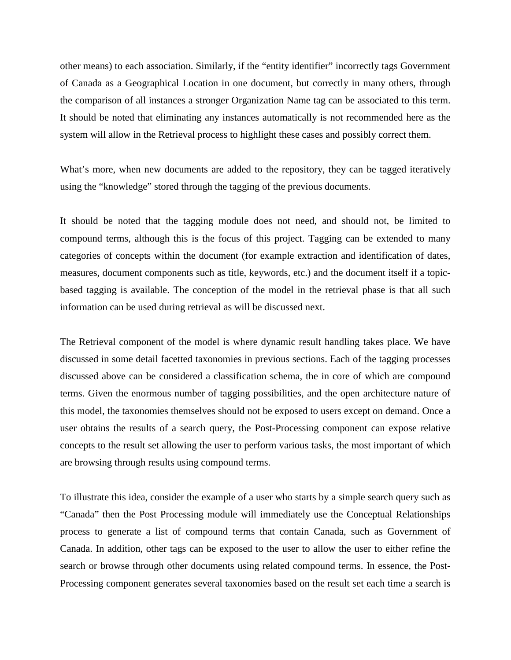other means) to each association. Similarly, if the "entity identifier" incorrectly tags Government of Canada as a Geographical Location in one document, but correctly in many others, through the comparison of all instances a stronger Organization Name tag can be associated to this term. It should be noted that eliminating any instances automatically is not recommended here as the system will allow in the Retrieval process to highlight these cases and possibly correct them.

What's more, when new documents are added to the repository, they can be tagged iteratively using the "knowledge" stored through the tagging of the previous documents.

It should be noted that the tagging module does not need, and should not, be limited to compound terms, although this is the focus of this project. Tagging can be extended to many categories of concepts within the document (for example extraction and identification of dates, measures, document components such as title, keywords, etc.) and the document itself if a topicbased tagging is available. The conception of the model in the retrieval phase is that all such information can be used during retrieval as will be discussed next.

The Retrieval component of the model is where dynamic result handling takes place. We have discussed in some detail facetted taxonomies in previous sections. Each of the tagging processes discussed above can be considered a classification schema, the in core of which are compound terms. Given the enormous number of tagging possibilities, and the open architecture nature of this model, the taxonomies themselves should not be exposed to users except on demand. Once a user obtains the results of a search query, the Post-Processing component can expose relative concepts to the result set allowing the user to perform various tasks, the most important of which are browsing through results using compound terms.

To illustrate this idea, consider the example of a user who starts by a simple search query such as "Canada" then the Post Processing module will immediately use the Conceptual Relationships process to generate a list of compound terms that contain Canada, such as Government of Canada. In addition, other tags can be exposed to the user to allow the user to either refine the search or browse through other documents using related compound terms. In essence, the Post-Processing component generates several taxonomies based on the result set each time a search is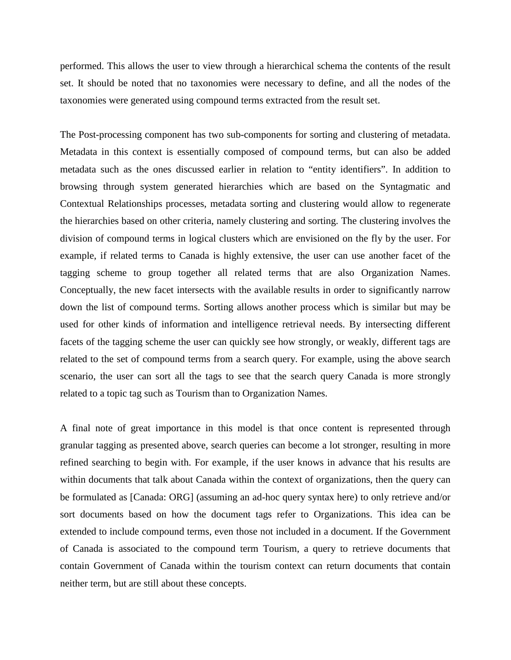performed. This allows the user to view through a hierarchical schema the contents of the result set. It should be noted that no taxonomies were necessary to define, and all the nodes of the taxonomies were generated using compound terms extracted from the result set.

The Post-processing component has two sub-components for sorting and clustering of metadata. Metadata in this context is essentially composed of compound terms, but can also be added metadata such as the ones discussed earlier in relation to "entity identifiers". In addition to browsing through system generated hierarchies which are based on the Syntagmatic and Contextual Relationships processes, metadata sorting and clustering would allow to regenerate the hierarchies based on other criteria, namely clustering and sorting. The clustering involves the division of compound terms in logical clusters which are envisioned on the fly by the user. For example, if related terms to Canada is highly extensive, the user can use another facet of the tagging scheme to group together all related terms that are also Organization Names. Conceptually, the new facet intersects with the available results in order to significantly narrow down the list of compound terms. Sorting allows another process which is similar but may be used for other kinds of information and intelligence retrieval needs. By intersecting different facets of the tagging scheme the user can quickly see how strongly, or weakly, different tags are related to the set of compound terms from a search query. For example, using the above search scenario, the user can sort all the tags to see that the search query Canada is more strongly related to a topic tag such as Tourism than to Organization Names.

A final note of great importance in this model is that once content is represented through granular tagging as presented above, search queries can become a lot stronger, resulting in more refined searching to begin with. For example, if the user knows in advance that his results are within documents that talk about Canada within the context of organizations, then the query can be formulated as [Canada: ORG] (assuming an ad-hoc query syntax here) to only retrieve and/or sort documents based on how the document tags refer to Organizations. This idea can be extended to include compound terms, even those not included in a document. If the Government of Canada is associated to the compound term Tourism, a query to retrieve documents that contain Government of Canada within the tourism context can return documents that contain neither term, but are still about these concepts.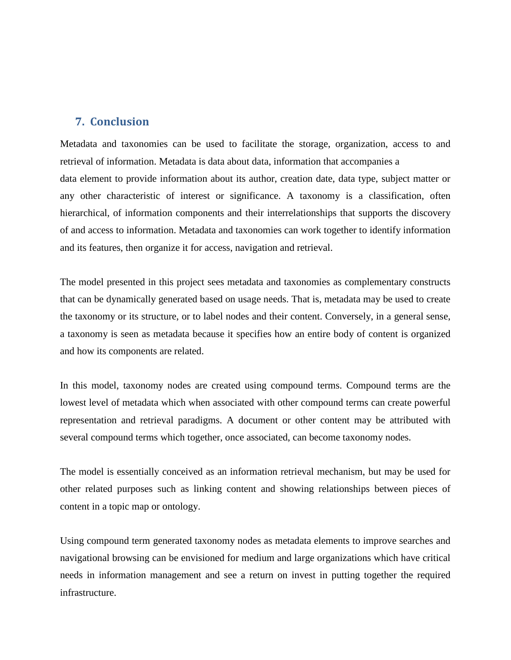### <span id="page-45-0"></span>**7. Conclusion**

Metadata and taxonomies can be used to facilitate the storage, organization, access to and retrieval of information. Metadata is data about data, information that accompanies a data element to provide information about its author, creation date, data type, subject matter or any other characteristic of interest or significance. A taxonomy is a classification, often hierarchical, of information components and their interrelationships that supports the discovery of and access to information. Metadata and taxonomies can work together to identify information and its features, then organize it for access, navigation and retrieval.

The model presented in this project sees metadata and taxonomies as complementary constructs that can be dynamically generated based on usage needs. That is, metadata may be used to create the taxonomy or its structure, or to label nodes and their content. Conversely, in a general sense, a taxonomy is seen as metadata because it specifies how an entire body of content is organized and how its components are related.

In this model, taxonomy nodes are created using compound terms. Compound terms are the lowest level of metadata which when associated with other compound terms can create powerful representation and retrieval paradigms. A document or other content may be attributed with several compound terms which together, once associated, can become taxonomy nodes.

The model is essentially conceived as an information retrieval mechanism, but may be used for other related purposes such as linking content and showing relationships between pieces of content in a topic map or ontology.

Using compound term generated taxonomy nodes as metadata elements to improve searches and navigational browsing can be envisioned for medium and large organizations which have critical needs in information management and see a return on invest in putting together the required infrastructure.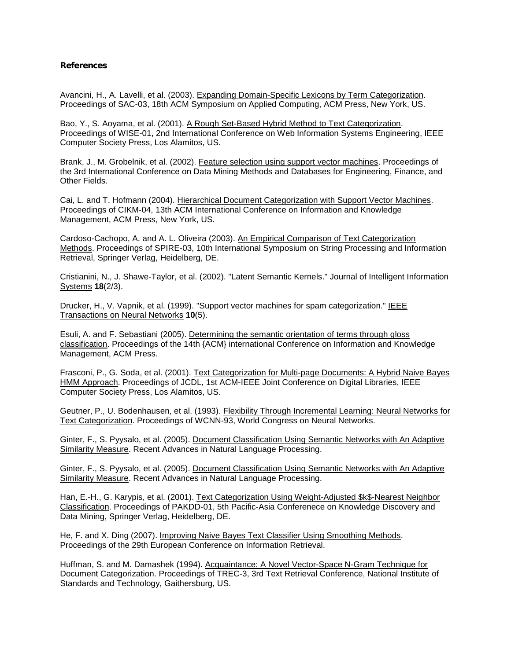#### **References**

Avancini, H., A. Lavelli, et al. (2003). Expanding Domain-Specific Lexicons by Term Categorization. Proceedings of SAC-03, 18th ACM Symposium on Applied Computing, ACM Press, New York, US.

Bao, Y., S. Aoyama, et al. (2001). A Rough Set-Based Hybrid Method to Text Categorization. Proceedings of WISE-01, 2nd International Conference on Web Information Systems Engineering, IEEE Computer Society Press, Los Alamitos, US.

Brank, J., M. Grobelnik, et al. (2002). Feature selection using support vector machines. Proceedings of the 3rd International Conference on Data Mining Methods and Databases for Engineering, Finance, and Other Fields.

Cai, L. and T. Hofmann (2004). Hierarchical Document Categorization with Support Vector Machines. Proceedings of CIKM-04, 13th ACM International Conference on Information and Knowledge Management, ACM Press, New York, US.

Cardoso-Cachopo, A. and A. L. Oliveira (2003). An Empirical Comparison of Text Categorization Methods. Proceedings of SPIRE-03, 10th International Symposium on String Processing and Information Retrieval, Springer Verlag, Heidelberg, DE.

Cristianini, N., J. Shawe-Taylor, et al. (2002). "Latent Semantic Kernels." Journal of Intelligent Information Systems **18**(2/3).

Drucker, H., V. Vapnik, et al. (1999). "Support vector machines for spam categorization." IEEE Transactions on Neural Networks **10**(5).

Esuli, A. and F. Sebastiani (2005). Determining the semantic orientation of terms through gloss classification. Proceedings of the 14th {ACM} international Conference on Information and Knowledge Management, ACM Press.

Frasconi, P., G. Soda, et al. (2001). Text Categorization for Multi-page Documents: A Hybrid Naive Bayes HMM Approach. Proceedings of JCDL, 1st ACM-IEEE Joint Conference on Digital Libraries, IEEE Computer Society Press, Los Alamitos, US.

Geutner, P., U. Bodenhausen, et al. (1993). Flexibility Through Incremental Learning: Neural Networks for Text Categorization. Proceedings of WCNN-93, World Congress on Neural Networks.

Ginter, F., S. Pyysalo, et al. (2005). Document Classification Using Semantic Networks with An Adaptive Similarity Measure. Recent Advances in Natural Language Processing.

Ginter, F., S. Pyysalo, et al. (2005). Document Classification Using Semantic Networks with An Adaptive Similarity Measure. Recent Advances in Natural Language Processing.

Han, E.-H., G. Karypis, et al. (2001). Text Categorization Using Weight-Adjusted \$k\$-Nearest Neighbor Classification. Proceedings of PAKDD-01, 5th Pacific-Asia Conferenece on Knowledge Discovery and Data Mining, Springer Verlag, Heidelberg, DE.

He, F. and X. Ding (2007). Improving Naive Bayes Text Classifier Using Smoothing Methods. Proceedings of the 29th European Conference on Information Retrieval.

Huffman, S. and M. Damashek (1994). Acquaintance: A Novel Vector-Space N-Gram Technique for Document Categorization. Proceedings of TREC-3, 3rd Text Retrieval Conference, National Institute of Standards and Technology, Gaithersburg, US.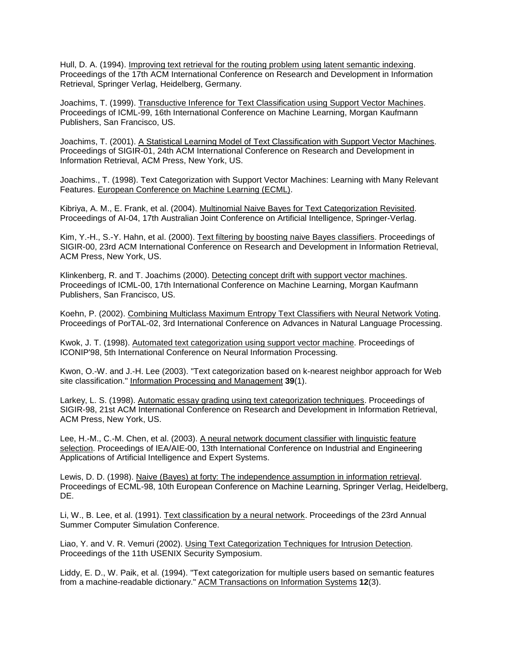Hull, D. A. (1994). Improving text retrieval for the routing problem using latent semantic indexing. Proceedings of the 17th ACM International Conference on Research and Development in Information Retrieval, Springer Verlag, Heidelberg, Germany.

Joachims, T. (1999). Transductive Inference for Text Classification using Support Vector Machines. Proceedings of ICML-99, 16th International Conference on Machine Learning, Morgan Kaufmann Publishers, San Francisco, US.

Joachims, T. (2001). A Statistical Learning Model of Text Classification with Support Vector Machines. Proceedings of SIGIR-01, 24th ACM International Conference on Research and Development in Information Retrieval, ACM Press, New York, US.

Joachims., T. (1998). Text Categorization with Support Vector Machines: Learning with Many Relevant Features. European Conference on Machine Learning (ECML).

Kibriya, A. M., E. Frank, et al. (2004). Multinomial Naive Bayes for Text Categorization Revisited. Proceedings of AI-04, 17th Australian Joint Conference on Artificial Intelligence, Springer-Verlag.

Kim, Y.-H., S.-Y. Hahn, et al. (2000). Text filtering by boosting naive Bayes classifiers. Proceedings of SIGIR-00, 23rd ACM International Conference on Research and Development in Information Retrieval, ACM Press, New York, US.

Klinkenberg, R. and T. Joachims (2000). Detecting concept drift with support vector machines. Proceedings of ICML-00, 17th International Conference on Machine Learning, Morgan Kaufmann Publishers, San Francisco, US.

Koehn, P. (2002). Combining Multiclass Maximum Entropy Text Classifiers with Neural Network Voting. Proceedings of PorTAL-02, 3rd International Conference on Advances in Natural Language Processing.

Kwok, J. T. (1998). Automated text categorization using support vector machine. Proceedings of ICONIP'98, 5th International Conference on Neural Information Processing.

Kwon, O.-W. and J.-H. Lee (2003). "Text categorization based on k-nearest neighbor approach for Web site classification." Information Processing and Management **39**(1).

Larkey, L. S. (1998). Automatic essay grading using text categorization techniques. Proceedings of SIGIR-98, 21st ACM International Conference on Research and Development in Information Retrieval, ACM Press, New York, US.

Lee, H.-M., C.-M. Chen, et al. (2003). A neural network document classifier with linguistic feature selection. Proceedings of IEA/AIE-00, 13th International Conference on Industrial and Engineering Applications of Artificial Intelligence and Expert Systems.

Lewis, D. D. (1998). Naive (Bayes) at forty: The independence assumption in information retrieval. Proceedings of ECML-98, 10th European Conference on Machine Learning, Springer Verlag, Heidelberg, DE.

Li, W., B. Lee, et al. (1991). Text classification by a neural network. Proceedings of the 23rd Annual Summer Computer Simulation Conference.

Liao, Y. and V. R. Vemuri (2002). Using Text Categorization Techniques for Intrusion Detection. Proceedings of the 11th USENIX Security Symposium.

Liddy, E. D., W. Paik, et al. (1994). "Text categorization for multiple users based on semantic features from a machine-readable dictionary." ACM Transactions on Information Systems **12**(3).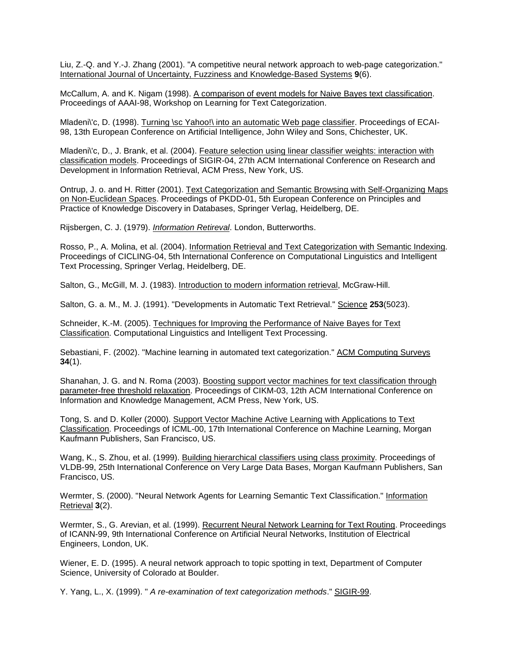Liu, Z.-Q. and Y.-J. Zhang (2001). "A competitive neural network approach to web-page categorization." International Journal of Uncertainty, Fuzziness and Knowledge-Based Systems **9**(6).

McCallum, A. and K. Nigam (1998). A comparison of event models for Naive Bayes text classification. Proceedings of AAAI-98, Workshop on Learning for Text Categorization.

Mladeni\'c, D. (1998). Turning \sc Yahoo!\ into an automatic Web page classifier. Proceedings of ECAI-98, 13th European Conference on Artificial Intelligence, John Wiley and Sons, Chichester, UK.

Mladeni\'c, D., J. Brank, et al. (2004). Feature selection using linear classifier weights: interaction with classification models. Proceedings of SIGIR-04, 27th ACM International Conference on Research and Development in Information Retrieval, ACM Press, New York, US.

Ontrup, J. o. and H. Ritter (2001). Text Categorization and Semantic Browsing with Self-Organizing Maps on Non-Euclidean Spaces. Proceedings of PKDD-01, 5th European Conference on Principles and Practice of Knowledge Discovery in Databases, Springer Verlag, Heidelberg, DE.

Rijsbergen, C. J. (1979). *Information Retireval*. London, Butterworths.

Rosso, P., A. Molina, et al. (2004). Information Retrieval and Text Categorization with Semantic Indexing. Proceedings of CICLING-04, 5th International Conference on Computational Linguistics and Intelligent Text Processing, Springer Verlag, Heidelberg, DE.

Salton, G., McGill, M. J. (1983). Introduction to modern information retrieval, McGraw-Hill.

Salton, G. a. M., M. J. (1991). "Developments in Automatic Text Retrieval." Science **253**(5023).

Schneider, K.-M. (2005). Techniques for Improving the Performance of Naive Bayes for Text Classification. Computational Linguistics and Intelligent Text Processing.

Sebastiani, F. (2002). "Machine learning in automated text categorization." ACM Computing Surveys **34**(1).

Shanahan, J. G. and N. Roma (2003). Boosting support vector machines for text classification through parameter-free threshold relaxation. Proceedings of CIKM-03, 12th ACM International Conference on Information and Knowledge Management, ACM Press, New York, US.

Tong, S. and D. Koller (2000). Support Vector Machine Active Learning with Applications to Text Classification. Proceedings of ICML-00, 17th International Conference on Machine Learning, Morgan Kaufmann Publishers, San Francisco, US.

Wang, K., S. Zhou, et al. (1999). Building hierarchical classifiers using class proximity. Proceedings of VLDB-99, 25th International Conference on Very Large Data Bases, Morgan Kaufmann Publishers, San Francisco, US.

Wermter, S. (2000). "Neural Network Agents for Learning Semantic Text Classification." Information Retrieval **3**(2).

Wermter, S., G. Arevian, et al. (1999). Recurrent Neural Network Learning for Text Routing. Proceedings of ICANN-99, 9th International Conference on Artificial Neural Networks, Institution of Electrical Engineers, London, UK.

Wiener, E. D. (1995). A neural network approach to topic spotting in text, Department of Computer Science, University of Colorado at Boulder.

Y. Yang, L., X. (1999). " *A re-examination of text categorization methods*." SIGIR-99.